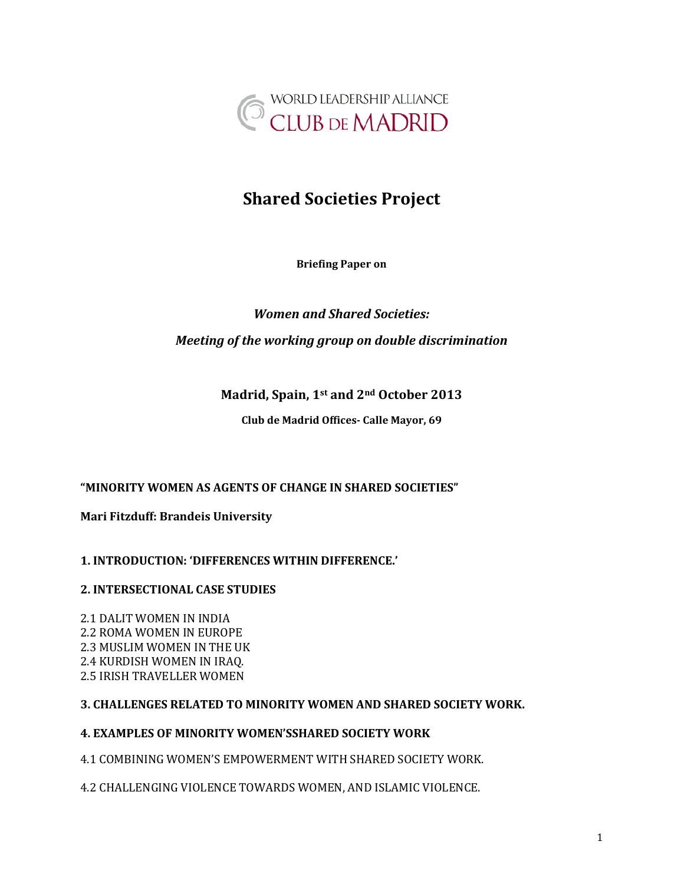

# **Shared Societies Project**

**Briefing Paper on**

# *Women and Shared Societies: Meeting of the working group on double discrimination*

# **Madrid, Spain, 1st and 2nd October 2013**

**Club de Madrid Offices- Calle Mayor, 69**

# **"MINORITY WOMEN AS AGENTS OF CHANGE IN SHARED SOCIETIES"**

**Mari Fitzduff: Brandeis University**

# **1. INTRODUCTION: 'DIFFERENCES WITHIN DIFFERENCE.'**

# **2. INTERSECTIONAL CASE STUDIES**

2.1 DALIT WOMEN IN INDIA 2.2 ROMA WOMEN IN EUROPE 2.3 MUSLIM WOMEN IN THE UK 2.4 KURDISH WOMEN IN IRAQ. 2.5 IRISH TRAVELLER WOMEN

# **3. CHALLENGES RELATED TO MINORITY WOMEN AND SHARED SOCIETY WORK.**

# <span id="page-0-0"></span>**4. EXAMPLES OF MINORITY WOMEN'SSHARED SOCIETY WORK**

4.1 COMBINING WOMEN'S EMPOWERMENT WITH SHARED SOCIETY WORK.

4.2 CHALLENGING VIOLENCE TOWARDS WOMEN, AND ISLAMIC VIOLENCE.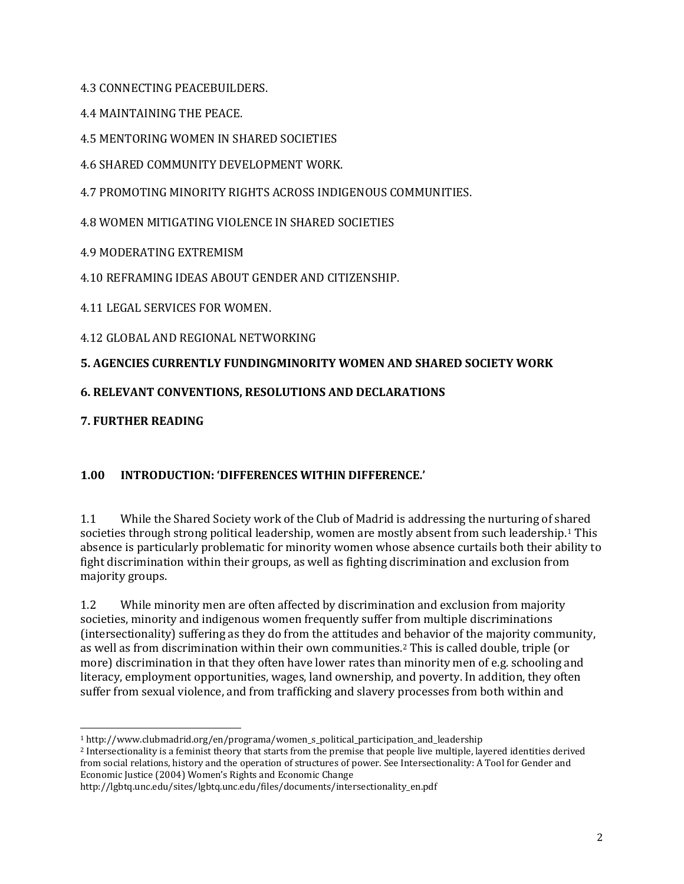4.3 CONNECTING PEACEBUILDERS.

4.4 MAINTAINING THE PEACE.

4.5 MENTORING WOMEN IN SHARED SOCIETIES

4.6 SHARED COMMUNITY DEVELOPMENT WORK.

4.7 PROMOTING MINORITY RIGHTS ACROSS INDIGENOUS COMMUNITIES.

4.8 WOMEN MITIGATING VIOLENCE IN SHARED SOCIETIES

4.9 MODERATING EXTREMISM

4.10 REFRAMING IDEAS ABOUT GENDER AND CITIZENSHIP.

4.11 LEGAL SERVICES FOR WOMEN.

4.12 GLOBAL AND REGIONAL NETWORKING

# **5. AGENCIES CURRENTLY FUNDINGMINORITY WOMEN AND SHARED SOCIETY WORK**

# **6. RELEVANT CONVENTIONS, RESOLUTIONS AND DECLARATIONS**

**7. FURTHER READING**

# **1.00 INTRODUCTION: 'DIFFERENCES WITHIN DIFFERENCE.'**

1.1 While the Shared Society work of the Club of Madrid is addressing the nurturing of shared societies through strong political leadership, women are mostly absent from such leadership.<sup>[1](#page-0-0)</sup> This absence is particularly problematic for minority women whose absence curtails both their ability to fight discrimination within their groups, as well as fighting discrimination and exclusion from majority groups.

1.2 While minority men are often affected by discrimination and exclusion from majority societies, minority and indigenous women frequently suffer from multiple discriminations (intersectionality) suffering as they do from the attitudes and [b](#page-1-0)ehavior of the majority community, as well as from discrimination within their own communities.2 This is called double, triple (or more) discrimination in that they often have lower rates than minority men of e.g. schooling and literacy, employment opportunities, wages, land ownership, and poverty. In addition, they often suffer from sexual violence, and from trafficking and slavery processes from both within and

<span id="page-1-1"></span> <sup>1</sup> http://www.clubmadrid.org/en/programa/women\_s\_political\_participation\_and\_leadership

<span id="page-1-0"></span><sup>2</sup> Intersectionality is a feminist theory that starts from the premise that people live multiple, layered identities derived from social relations, history and the operation of structures of power. See Intersectionality: A Tool for Gender and Economic Justice (2004) Women's Rights and Economic Change

http://lgbtq.unc.edu/sites/lgbtq.unc.edu/files/documents/intersectionality\_en.pdf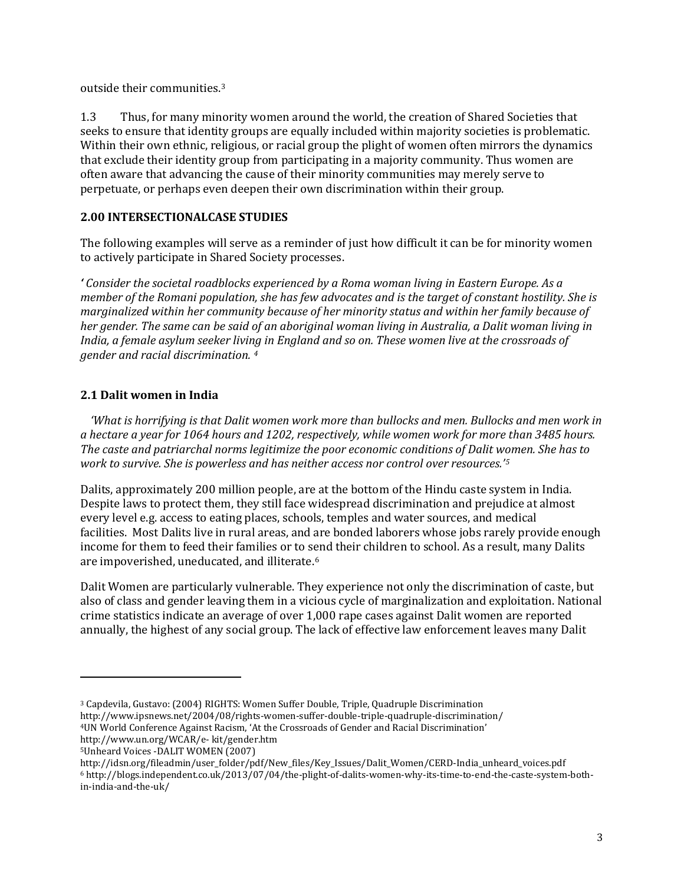outside their communities.[3](#page-1-1)

1.3 Thus, for many minority women around the world, the creation of Shared Societies that seeks to ensure that identity groups are equally included within majority societies is problematic. Within their own ethnic, religious, or racial group the plight of women often mirrors the dynamics that exclude their identity group from participating in a majority community. Thus women are often aware that advancing the cause of their minority communities may merely serve to perpetuate, or perhaps even deepen their own discrimination within their group.

# **2.00 INTERSECTIONALCASE STUDIES**

The following examples will serve as a reminder of just how difficult it can be for minority women to actively participate in Shared Society processes.

*' Consider the societal roadblocks experienced by a Roma woman living in Eastern Europe. As a member of the Romani population, she has few advocates and is the target of constant hostility. She is marginalized within her community because of her minority status and within her family because of her gender. The same can be said of an aboriginal woman living in Australia, a Dalit woman living in India, a female asylum seeker living in England and so on. These women live at the crossroads of gender and racial discrimination. [4](#page-2-0)*

## **2.1 Dalit women in India**

*'What is horrifying is that Dalit women work more than bullocks and men. Bullocks and men work in a hectare a year for 1064 hours and 1202, respectively, while women work for more than 3485 hours. The caste and patriarchal norms legitimize the poor economic conditions of Dalit women. She has to work to survive. She is powerless and has neither access nor control over resources.'[5](#page-2-0)*

Dalits, approximately 200 million people, are at the bottom of the Hindu caste system in India. Despite laws to protect them, they still face widespread discrimination and prejudice at almost every level e.g. access to eating places, schools, temples and water sources, and medical facilities. Most Dalits live in rural areas, and are bonded laborers whose jobs rarely provide enough income for them to feed their families or to send their children to school. As a result, many Dalits are impoverished, uneducated, and illiterate.[6](#page-2-0)

Dalit Women are particularly vulnerable. They experience not only the discrimination of caste, but also of class and gender leaving them in a vicious cycle of marginalization and exploitation. National crime statistics indicate an average of over 1,000 rape cases against Dalit women are reported annually, the highest of any social group. The lack of effective law enforcement leaves many Dalit

<span id="page-2-1"></span>j

<span id="page-2-0"></span><sup>3</sup> Capdevila, Gustavo: (2004) RIGHTS: Women Suffer Double, Triple, Quadruple Discrimination http://www.ipsnews.net/2004/08/rights-women-suffer-double-triple-quadruple-discrimination/

<sup>4</sup>UN World Conference Against Racism, 'At the Crossroads of Gender and Racial Discrimination'

http://www.un.org/WCAR/e- kit/gender.htm

<sup>5</sup>Unheard Voices -DALIT WOMEN (2007)

http://idsn.org/fileadmin/user\_folder/pdf/New\_files/Key\_Issues/Dalit\_Women/CERD-India\_unheard\_voices.pdf <sup>6</sup> http://blogs.independent.co.uk/2013/07/04/the-plight-of-dalits-women-why-its-time-to-end-the-caste-system-bothin-india-and-the-uk/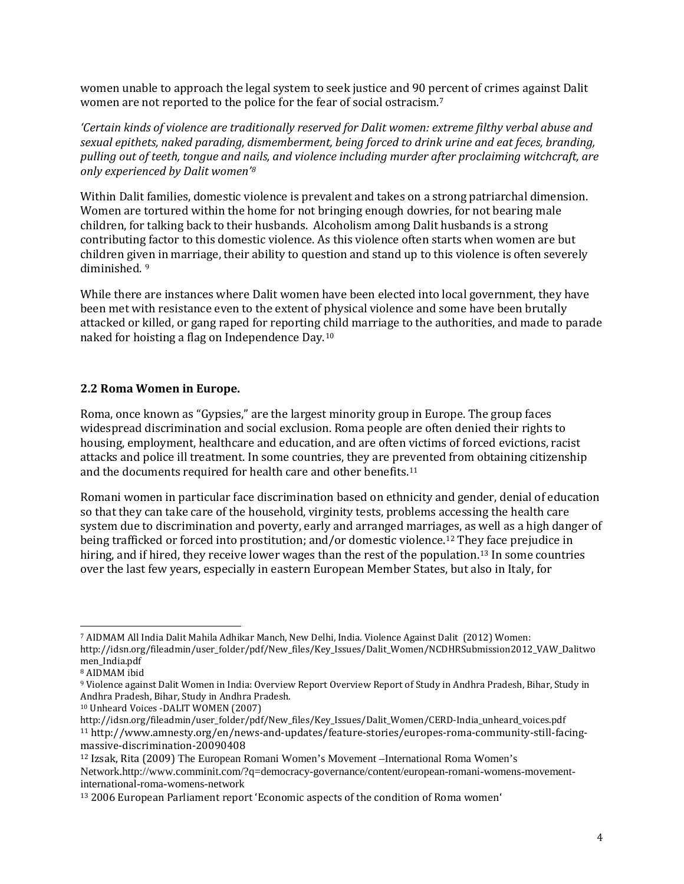women unable to approach the legal system to seek justice and 90 p[er](#page-2-1)cent of crimes against Dalit women are not reported to the police for the fear of social ostracism.7

*'Certain kinds of violence are traditionally reserved for Dalit women: extreme filthy verbal abuse and sexual epithets, naked parading, dismemberment, being forced to drink urine and eat feces, branding, pulling out of teeth, tongue and nails, and violence including murder after proclaiming witchcraft, are only experienced by Dalit women'[8](#page-3-0)*

Within Dalit families, domestic violence is prevalent and takes on a strong patriarchal dimension. Women are tortured within the home for not bringing enough dowries, for not bearing male children, for talking back to their husbands. Alcoholism among Dalit husbands is a strong contributing factor to this domestic violence. As this violence often starts when women are but children giv[en](#page-3-0) in marriage, their ability to question and stand up to this violence is often severely diminished. 9

While there are instances where Dalit women have been elected into local government, they have been met with resistance even to the extent of physical violence and some have been brutally attacked or killed, or gang raped for reporting child marriage to the authorities, and made to parade naked for hoisting a flag on Independence Day[.10](#page-3-0)

#### **2.2 Roma Women in Europe.**

Roma, once known as "Gypsies," are the largest minority group in Europe. The group faces widespread discrimination and social exclusion. Roma people are often denied their rights to housing, employment, healthcare and education, and are often victims of forced evictions, racist attacks and police ill treatment. In some countries, they are prevented from obtaining citizenship and the documents required for health care and other benefits.[11](#page-3-0)

Romani women in particular face discrimination based on ethnicity and gender, denial of education so that they can take care of the household, virginity tests, problems accessing the health care system due to discrimination and poverty, early and arranged marriages, as well as a high danger of being trafficked or forced into prostitution; and/or domestic violence.[12](#page-3-0) The[y f](#page-3-0)ace prejudice in hiring, and if hired, they receive lower wages than the rest of the population.<sup>13</sup> In some countries over the last few years, especially in eastern European Member States, but also in Italy, for

<span id="page-3-1"></span><span id="page-3-0"></span> <sup>7</sup> AIDMAM All India Dalit Mahila Adhikar Manch, New Delhi, India. Violence Against Dalit (2012) Women: http://idsn.org/fileadmin/user\_folder/pdf/New\_files/Key\_Issues/Dalit\_Women/NCDHRSubmission2012\_VAW\_Dalitwo men\_India.pdf

<sup>8</sup> AIDMAM ibid

<sup>9</sup> Violence against Dalit Women in India: Overview Report Overview Report of Study in Andhra Pradesh, Bihar, Study in Andhra Pradesh, Bihar, Study in Andhra Pradesh.

<sup>10</sup> Unheard Voices -DALIT WOMEN (2007)

http://idsn.org/fileadmin/user\_folder/pdf/New\_files/Key\_Issues/Dalit\_Women/CERD-India\_unheard\_voices.pdf <sup>11</sup> http://www.amnesty.org/en/news-and-updates/feature-stories/europes-roma-community-still-facingmassive-discrimination-20090408

<sup>12</sup> Izsak, Rita (2009) The European Romani Women's Movement –International Roma Women's

Network.http://www.comminit.com/?q=democracy-governance/content/european-romani-womens-movementinternational-roma-womens-network

<sup>13</sup> 2006 European Parliament report 'Economic aspects of the condition of Roma women'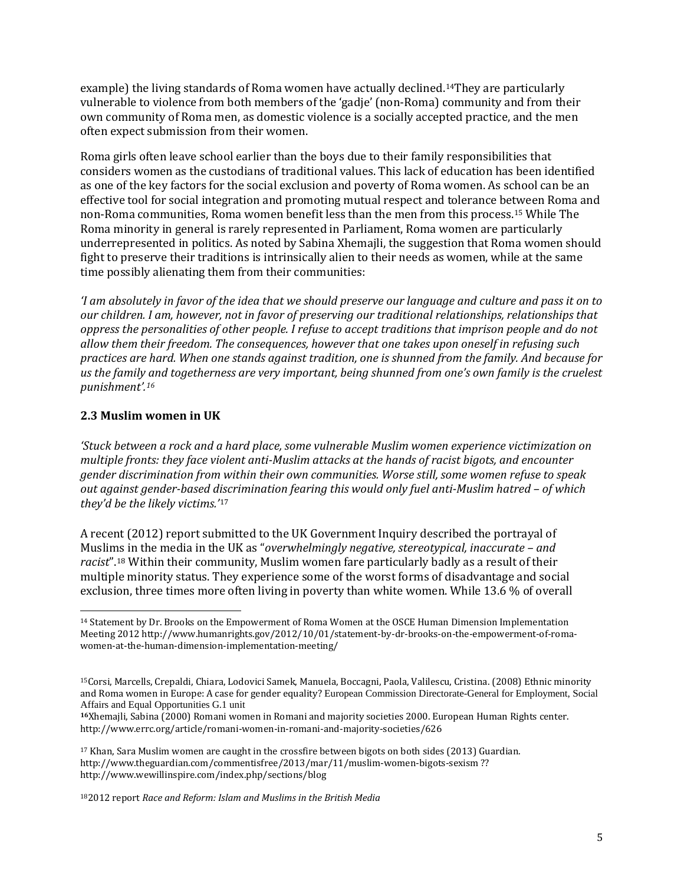example) the living standards of Roma women have actually declined.[14T](#page-3-1)hey are particularly vulnerable to violence from both members of the 'gadje' (non-Roma) community and from their own community of Roma men, as domestic violence is a socially accepted practice, and the men often expect submission from their women.

Roma girls often leave school earlier than the boys due to their family responsibilities that considers women as the custodians of traditional values. This lack of education has been identified as one of the key factors for the social exclusion and poverty of Roma women. As school can be an effective tool for social integration and promoting mutual respect and tolerance between Roma and non-Roma communities, Roma women benefit less than the men from this process.[15](#page-4-0) While The Roma minority in general is rarely represented in Parliament, Roma women are particularly underrepresented in politics. As noted by Sabina Xhemajli, the suggestion that Roma women should fight to preserve their traditions is intrinsically alien to their needs as women, while at the same time possibly alienating them from their communities:

*'I am absolutely in favor of the idea that we should preserve our language and culture and pass it on to our children. I am, however, not in favor of preserving our traditional relationships, relationships that oppress the personalities of other people. I refuse to accept traditions that imprison people and do not allow them their freedom. The consequences, however that one takes upon oneself in refusing such practices are hard. When one stands against tradition, one is shunned from the family. And because for us the family and togetherness are very important, being shunned from one's own family is the cruelest punishment'.[16](#page-4-0)*

#### **2.3 Muslim women in UK**

*'Stuck between a rock and a hard place, some vulnerable Muslim women experience victimization on multiple fronts: they face violent anti-Muslim attacks at the hands of racist bigots, and encounter gender discrimination from within their own communities. Worse still, some women refuse to speak out against gender-based d[isc](#page-4-1)rimination fearing this would only fuel anti-Muslim hatred – of which they'd be the likely victims.'*<sup>17</sup>

A recent (2012) report submitted to the UK Government Inquiry described the portrayal of Musli[ms](#page-4-0) in the media in the UK as "*overwhelmingly negative, stereotypical, inaccurate – and racist*".18 Within their community, Muslim women fare particularly badly as a result of their multiple minority status. They experience some of the worst forms of disadvantage and social exclusion, three times more often living in poverty than white women. While 13.6 % of overall

182012 report *Race and Reform: Islam and Muslims in the British Media*

<span id="page-4-2"></span><span id="page-4-1"></span><span id="page-4-0"></span> <sup>14</sup> Statement by Dr. Brooks on the Empowerment of Roma Women at the OSCE Human Dimension Implementation Meeting 2012 http://www.humanrights.gov/2012/10/01/statement-by-dr-brooks-on-the-empowerment-of-romawomen-at-the-human-dimension-implementation-meeting/

<sup>15</sup>Corsi, Marcells, Crepaldi, Chiara, Lodovici Samek, Manuela, Boccagni, Paola, Valilescu, Cristina. (2008) Ethnic minority and Roma women in Europe: A case for gender equality? European Commission Directorate-General for Employment, Social Affairs and Equal Opportunities G.1 unit

**<sup>16</sup>**Xhemajli, Sabina (2000) Romani women in Romani and majority societies 2000. European Human Rights center. <http://www.errc.org/article/romani-women-in-romani-and-majority-societies/626>

<sup>17</sup> Khan, Sara Muslim women are caught in the crossfire between bigots on both sides (2013) Guardian. <http://www.theguardian.com/commentisfree/2013/mar/11/muslim-women-bigots-sexism> ?? http://www.wewillinspire.com/index.php/sections/blog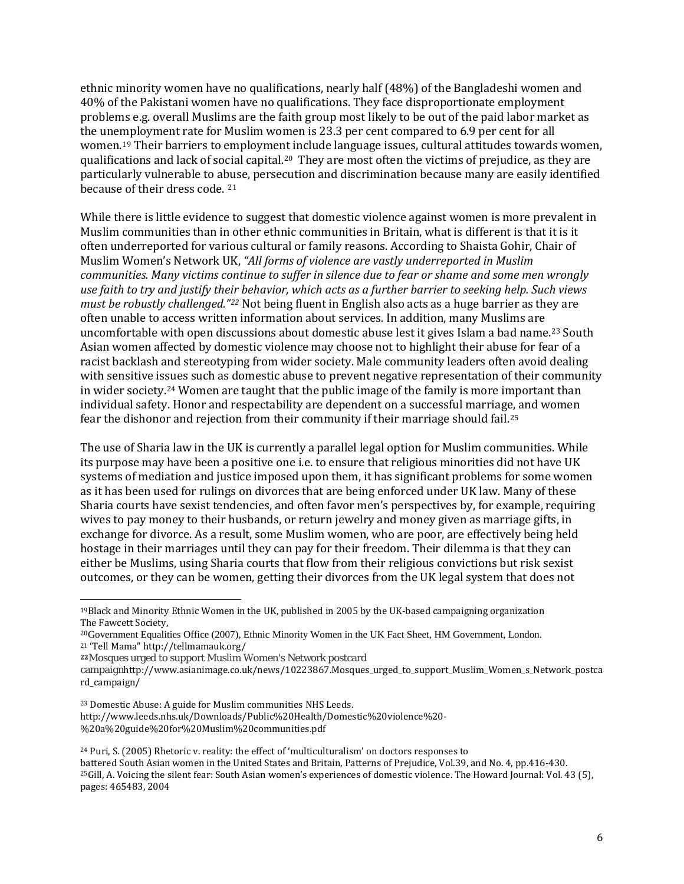ethnic minority women have no qualifications, nearly half (48%) of the Bangladeshi women and 40% of the Pakistani women have no qualifications. They face disproportionate employment problems e.g. overall Muslims are the faith group most likely to be out of the paid labor market as the unemployment rate for Muslim women is 23.3 per cent compared to 6.9 per cent for all women.[19](#page-4-2) Their barriers to employment include language issues, cultural attitudes towards women, qualifications and lack of social capital.[20](#page-5-0) They are most often the victims of prejudice, as they are particularly vulnerable to abuse, persecution and discrimination because many are easily identified because of their dress code. [21](#page-5-0)

While there is little evidence to suggest that domestic violence against women is more prevalent in Muslim communities than in other ethnic communities in Britain, what is different is that it is it often underreported for various cultural or family reasons. According to Shaista Gohir, Chair of Muslim Women's Network UK, *"All forms of violence are vastly underreported in Muslim communities. Many victims continue to suffer in silence due to fear or shame and some men wrongly use faith to try and justify their behavior, which acts as a further barrier to seeking help. Such views must be robustly challenged."[22](#page-5-0)* Not being fluent in English also acts as a huge barrier as they are often unable to access written information about services. In addition, many Muslims are uncomfortable with open discussions about domestic abuse lest it gives Islam a bad name.[23](#page-5-0) South Asian women affected by domestic violence may choose not to highlight their abuse for fear of a racist backlash and stereotyping from wider society. Male community leaders often avoid dealing with sensitive issues such as domestic abuse to prevent negative representation of their community in wider society.[24](#page-5-0) Women are taught that the public image of the family is more important than individual safety. Honor and respectability are dependent on a successful marriag[e, a](#page-5-0)nd women fear the dishonor and rejection from their community if their marriage should fail.25

The use of Sharia law in the UK is currently a parallel legal option for Muslim communities. While its purpose may have been a positive one i.e. to ensure that religious minorities did not have UK systems of mediation and justice imposed upon them, it has significant problems for some women as it has been used for rulings on divorces that are being enforced under UK law. Many of these Sharia courts have sexist tendencies, and often favor men's perspectives by, for example, requiring wives to pay money to their husbands, or return jewelry and money given as marriage gifts, in exchange for divorce. As a result, some Muslim women, who are poor, are effectively being held hostage in their marriages until they can pay for their freedom. Their dilemma is that they can either be Muslims, using Sharia courts that flow from their religious convictions but risk sexist outcomes, or they can be women, getting their divorces from the UK legal system that does not

http://www.leeds.nhs.uk/Downloads/Public%20Health/Domestic%20violence%20- %20a%20guide%20for%20Muslim%20communities.pdf

<sup>24</sup> Puri, S. (2005) Rhetoric v. reality: the effect of 'multiculturalism' on doctors responses to battered South Asian women in the United States and Britain, Patterns of Prejudice, Vol.39, and No. 4, pp.416-430.  $25$ Gill, A. Voicing the silent fear: South Asian women's experiences of domestic violence. The Howard Journal: Vol. 43 (5), pages: 465483, 2004

<span id="page-5-0"></span> <sup>19</sup>Black and Minority Ethnic Women in the UK, published in 2005 by the UK-based campaigning organization The Fawcett Society,

<sup>&</sup>lt;sup>20</sup>Government Equalities Office (2007), Ethnic Minority Women in the UK Fact Sheet, HM Government, London.<br><sup>21</sup> 'Tell Mama'' http://tellmamauk.org/

<sup>&</sup>lt;sup>22</sup>Mosques urged to support Muslim Women's Network postcard

<span id="page-5-1"></span>campaignhttp://www.asianimage.co.uk/news/10223867.Mosques\_urged\_to\_support\_Muslim\_Women\_s\_Network\_postca rd\_campaign/

<sup>23</sup> Domestic Abuse: A guide for Muslim communities NHS Leeds.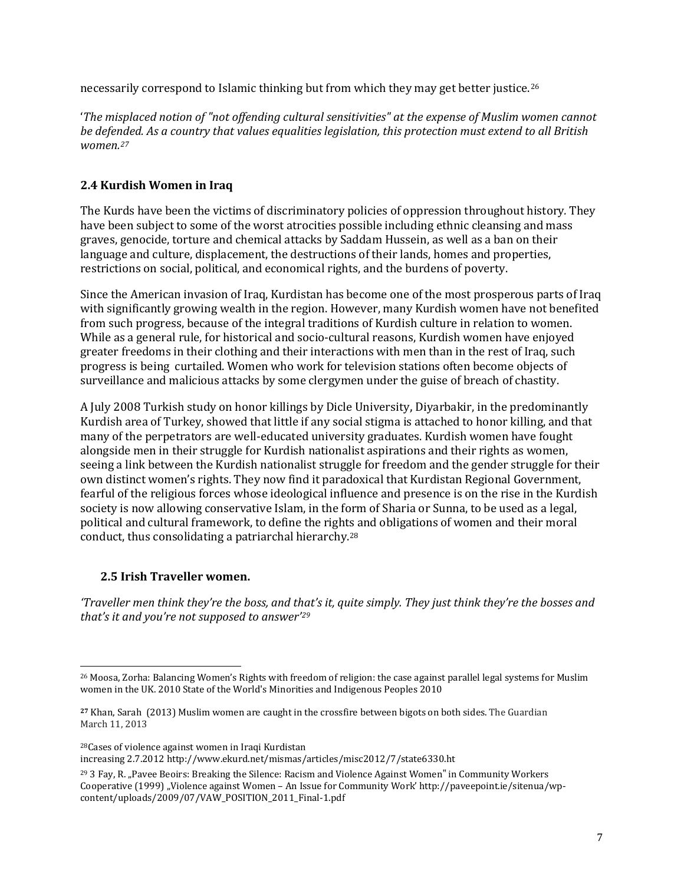necessarily correspond to Islamic thinking but from which they may get better justice.[26](#page-5-1)

'*The misplaced notion of "not offending cultural sensitivities" at the expense of Muslim women cannot be defended. As a country that values equalities legislation, this protection must extend to all British women.[27](#page-6-0)*

## **2.4 Kurdish Women in Iraq**

The Kurds have been the victims of discriminatory policies of oppression throughout history*.* They have been subject to some of the worst atrocities possible including ethnic cleansing and mass graves, genocide, torture and chemical attacks by Saddam Hussein, as well as a ban on their language and culture, displacement, the destructions of their lands, homes and properties, restrictions on social, political, and economical rights, and the burdens of poverty.

Since the American invasion of Iraq, Kurdistan has become one of the most prosperous parts of Iraq with significantly growing wealth in the region. However, many Kurdish women have not benefited from such progress, because of the integral traditions of Kurdish culture in relation to women. While as a general rule, for historical and socio-cultural reasons, Kurdish women have enjoyed greater freedoms in their clothing and their interactions with men than in the rest of Iraq, such progress is being curtailed. Women who work for television stations often become objects of surveillance and malicious attacks by some clergymen under the guise of breach of chastity.

A July 2008 Turkish study on honor killings by Dicle University, Diyarbakir, in the predominantly Kurdish area of Turkey, showed that little if any social stigma is attached to honor killing, and that many of the perpetrators are well-educated university graduates. Kurdish women have fought alongside men in their struggle for Kurdish nationalist aspirations and their rights as women, seeing a link between the Kurdish nationalist struggle for freedom and the gender struggle for their own distinct women's rights. They now find it paradoxical that Kurdistan Regional Government, fearful of the religious forces whose ideological influence and presence is on the rise in the Kurdish society is now allowing conservative Islam, in the form of Sharia or Sunna, to be used as a legal, political and cultural framework, to define the rights and obligations of women and their moral conduct, thus consolidating a patriarchal hierarchy.[28](#page-6-0)

## **2.5 Irish Traveller women.**

*'Traveller men think they're the boss, and that's it, quite simply. They just think they're the bosses and that's it and you're not supposed to answer'[29](#page-6-0)*

28Cases of violence against women in Iraqi Kurdistan

increasing 2.7.2012 http://www.ekurd.net/mismas/articles/misc2012/7/state6330.ht

<span id="page-6-1"></span><span id="page-6-0"></span> <sup>26</sup> Moosa, Zorha: Balancing Women's Rights with freedom of religion: the case against parallel legal systems for Muslim women in the UK. 2010 State of the World's Minorities and Indigenous Peoples 2010

**<sup>27</sup>** Khan, Sarah (2013) Muslim women are caught in the crossfire between bigots on both sides. The Guardian March 11, 2013

<sup>&</sup>lt;sup>29</sup> 3 Fay, R. "Pavee Beoirs: Breaking the Silence: Racism and Violence Against Women" in Community Workers Cooperative (1999) "Violence against Women – An Issue for Community Work' http://paveepoint.ie/sitenua/wpcontent/uploads/2009/07/VAW\_POSITION\_2011\_Final-1.pdf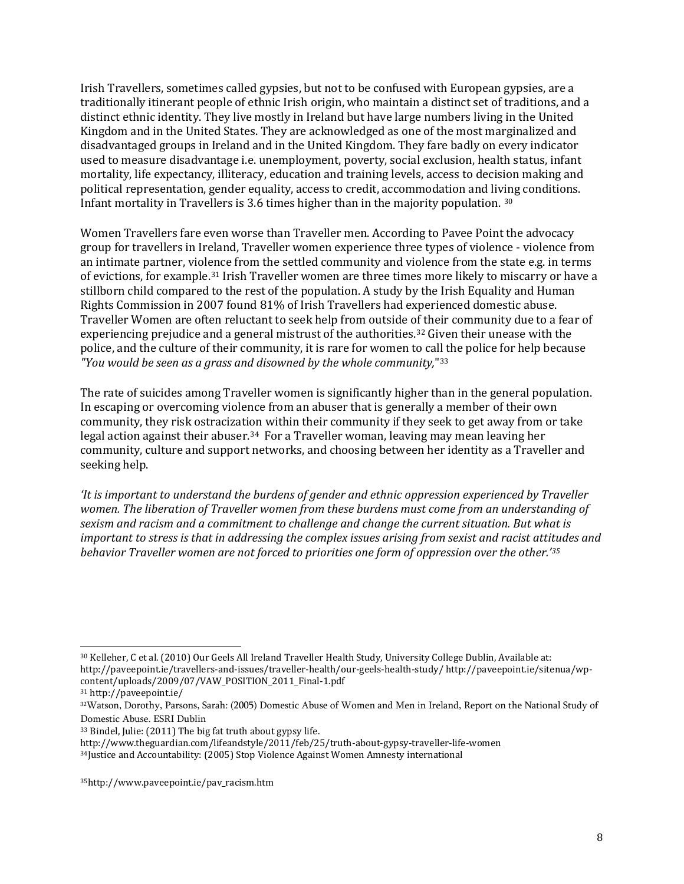Irish Travellers, sometimes called gypsies, but not to be confused with European gypsies, are a traditionally [itinerant](http://en.wikipedia.org/wiki/Itinerant) people of ethnic [Irish](http://en.wikipedia.org/wiki/Irish_people) origin, who maintain a distinct set of traditions, and a distinct ethnic identity. They live mostly in [Ireland](http://en.wikipedia.org/wiki/Republic_of_Ireland) but have large numbers living in the [United](http://en.wikipedia.org/wiki/United_Kingdom)  [Kingdom](http://en.wikipedia.org/wiki/United_Kingdom) and in th[e United States.](http://en.wikipedia.org/wiki/United_States) They are acknowledged as one of the most marginalized and disadvantaged groups in Ireland and in the United Kingdom. They fare badly on every indicator used to measure disadvantage i.e. unemployment, poverty, social exclusion, health status, infant mortality, life expectancy, illiteracy, education and training levels, access to decision making and political representation, gender equality, access to credit, accommodation and living conditions. Infant mortality in Travellers is 3.6 times higher than in the majority population. [30](#page-6-1)

Women Travellers fare even worse than Traveller men. According to Pavee Point the advocacy group for travellers in Ireland, Traveller women experience three types of violence - violence from an intimate partner, viol[en](#page-7-0)ce from the settled community and violence from the state e.g. in terms of evictions, for example.31 Irish Traveller women are three times more likely to miscarry or have a stillborn child compared to the rest of the population. A study by the Irish Equality and Human Rights Commission in 2007 found 81% of Irish Travellers had experienced domestic abuse. Traveller Women are often reluctant to seek help from outside of their community due to a fear of experiencing prejudice and a general mistrust of the authorities.[32](#page-7-0) Given their unease with the police, and the culture of their community, it is rare for women to ca[ll t](#page-7-0)he police for help because *"You would be seen as a grass and disowned by the whole community,*"33

The rate of suicides among Traveller women is significantly higher than in the general population. In escaping or overcoming violence from an abuser that is generally a member of their own community, they risk ostracization within their community if they seek to get away from or take legal action against their abuser.<sup>34</sup> For a Traveller woman, leaving may mean leaving her community, culture and support networks, and choosing between her identity as a Traveller and seeking help.

*'It is important to understand the burdens of gender and ethnic oppression experienced by Traveller women. The liberation of Traveller women from these burdens must come from an understanding of sexism and racism and a commitment to challenge and change the current situation. But what is important to stress is that in addressing the complex issues arising from sexist and racist attitudes and behavior Traveller women are not forced to priorities one form of oppression over the other.'[35](#page-7-1)*

<span id="page-7-2"></span><span id="page-7-1"></span><span id="page-7-0"></span> <sup>30</sup> Kelleher, C et al. (2010) Our Geels All Ireland Traveller Health Study, University College Dublin, Available at: http://paveepoint.ie/travellers-and-issues/traveller-health/our-geels-health-study/ http://paveepoint.ie/sitenua/wpcontent/uploads/2009/07/VAW\_POSITION\_2011\_Final-1.pdf

<sup>31</sup> http://paveepoint.ie/

<sup>32</sup>Watson, Dorothy, Parsons, Sarah: (2005) Domestic Abuse of Women and Men in Ireland, Report on the National Study of Domestic Abuse. ESRI Dublin

<sup>33</sup> Bindel, Julie: (2011) The big fat truth about gypsy life.

http://www.theguardian.com/lifeandstyle/2011/feb/25/truth-about-gypsy-traveller-life-women

<sup>34</sup>Justice and Accountability: (2005) Stop Violence Against Women Amnesty international

<sup>35</sup>http://www.paveepoint.ie/pav\_racism.htm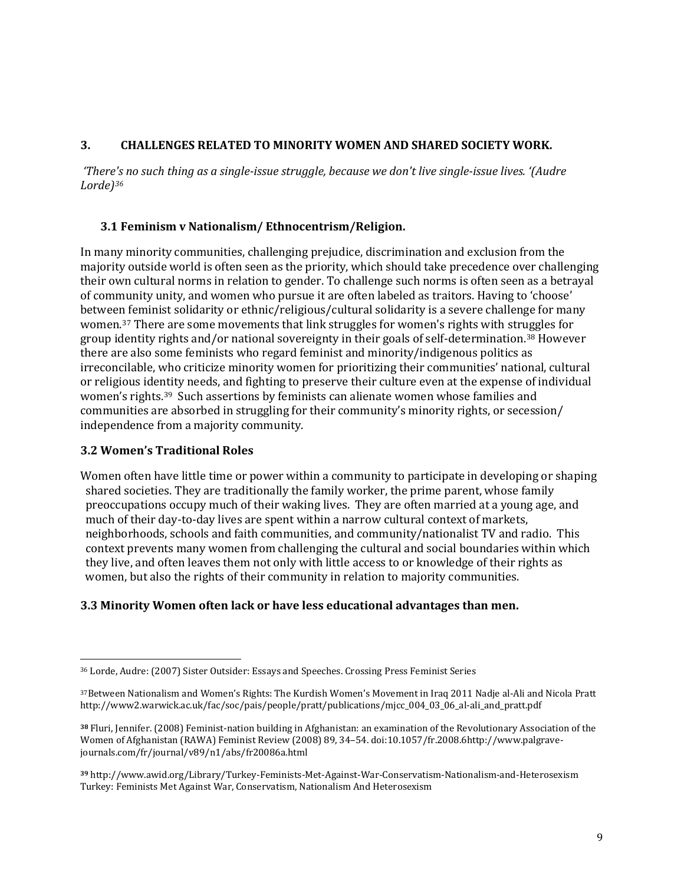## **3. CHALLENGES RELATED TO MINORITY WOMEN AND SHARED SOCIETY WORK.**

*'There's no such thing as a single-issue struggle, because we don't live single-issue lives. '(Audre Lorde)[36](#page-7-2)*

## **3.1 Feminism v Nationalism/ Ethnocentrism/Religion.**

In many minority communities, challenging prejudice, discrimination and exclusion from the majority outside world is often seen as the priority, which should take precedence over challenging their own cultural norms in relation to gender. To challenge such norms is often seen as a betrayal of community unity, and women who pursue it are often labeled as traitors. Having to 'choose' between feminist solidarity or ethnic/religious/cultural solidarity is a severe challenge for many women.[37](#page-8-0) There are some movements that link struggles for women's rights with str[ug](#page-8-0)gles for group identity rights and/or national sovereignty in their goals of self-determination.38 However there are also some feminists who regard feminist and minority/indigenous politics as irreconcilable, who criticize minority women for prioritizing their communities' national, cultural or religious identity needs, and fighting to preserve their culture even at the expense of individual women's rights.[39](#page-8-0) Such assertions by feminists can alienate women whose families and communities are absorbed in struggling for their community's minority rights, or secession/ independence from a majority community.

## **3.2 Women's Traditional Roles**

Women often have little time or power within a community to participate in developing or shaping shared societies. They are traditionally the family worker, the prime parent, whose family preoccupations occupy much of their waking lives. They are often married at a young age, and much of their day-to-day lives are spent within a narrow cultural context of markets, neighborhoods, schools and faith communities, and community/nationalist TV and radio. This context prevents many women from challenging the cultural and social boundaries within which they live, and often leaves them not only with little access to or knowledge of their rights as women, but also the rights of their community in relation to majority communities.

# **3.3 Minority Women often lack or have less educational advantages than men.**

<span id="page-8-1"></span><span id="page-8-0"></span> <sup>36</sup> Lorde, Audre: (2007) Sister Outsider: Essays and Speeches. Crossing Press Feminist Series

<sup>37</sup>Between Nationalism and Women's Rights: The Kurdish Women's Movement in Iraq 2011 Nadje al-Ali and Nicola Pratt http://www2.warwick.ac.uk/fac/soc/pais/people/pratt/publications/mjcc\_004\_03\_06\_al-ali\_and\_pratt.pdf

**<sup>38</sup>** Fluri, Jennifer. (2008) Feminist-nation building in Afghanistan: an examination of the Revolutionary Association of the Women of Afghanistan (RAWA) Feminist Review (2008) 89, 34–54. doi:10.1057/fr.2008.6http://www.palgravejournals.com/fr/journal/v89/n1/abs/fr20086a.html

**<sup>39</sup>** http://www.awid.org/Library/Turkey-Feminists-Met-Against-War-Conservatism-Nationalism-and-Heterosexism Turkey: Feminists Met Against War, Conservatism, Nationalism And Heterosexism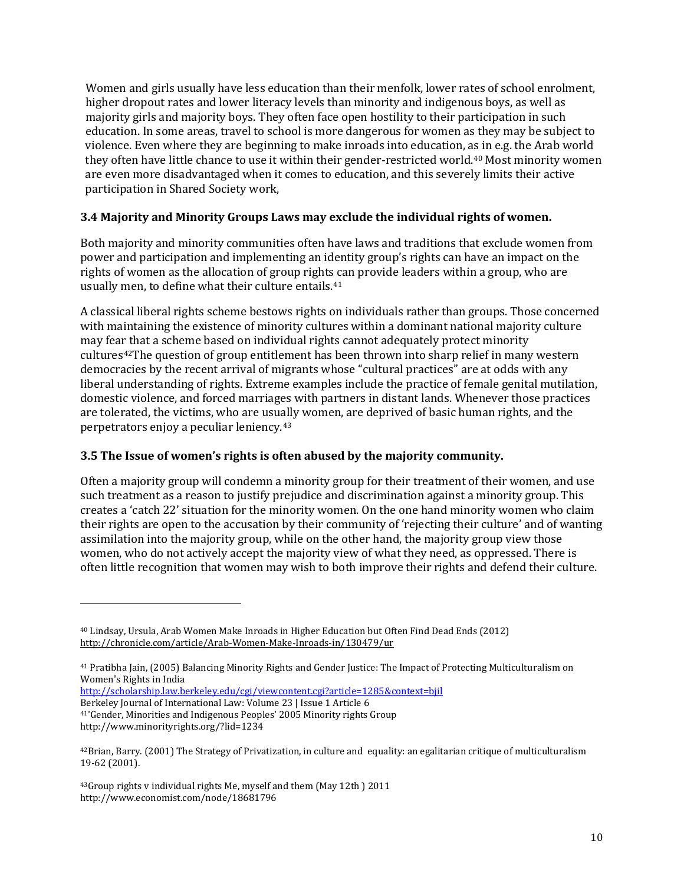Women and girls usually have less education than their menfolk, lower rates of school enrolment, higher dropout rates and lower literacy levels than minority and indigenous boys, as well as majority girls and majority boys. They often face open hostility to their participation in such education. In some areas, travel to school is more dangerous for women as they may be subject to violence. Even where they are beginning to make inroads into education, as in e.g. the Arab world they often have little chance to use it within their gender-restricted world.<sup>40</sup> Most minority women are even more disadvantaged when it comes to education, and this severely limits their active participation in Shared Society work,

# **3.4 Majority and Minority Groups Laws may exclude the individual rights of women.**

Both majority and minority communities often have laws and traditions that exclude women from power and participation and implementing an identity group's rights can have an impact on the rights of women as the allocation of group rights can provide leaders within a group, who are usually men, to define what their culture entails.[41](#page-9-0)

A classical liberal rights scheme bestows rights on individuals rather than groups. Those concerned with maintaining the existence of minority cultures within a dominant national majority culture may fear that a scheme based on individual rights cannot adequately protect minority cultures[42T](#page-9-0)he question of group entitlement has been thrown into sharp relief in many western democracies by the recent arrival of migrants whose "cultural practices" are at odds with any liberal understanding of rights. Extreme examples include the practice of female genital mutilation, domestic violence, and forced marriages with partners in distant lands. Whenever those practices are tolerated, the victims, who are usually women, are deprived of basic human rights, and the perpetrators enjoy a peculiar leniency[.43](#page-9-0)

## **3.5 The Issue of women's rights is often abused by the majority community.**

Often a majority group will condemn a minority group for their treatment of their women, and use such treatment as a reason to justify prejudice and discrimination against a minority group. This creates a 'catch 22' situation for the minority women. On the one hand minority women who claim their rights are open to the accusation by their community of 'rejecting their culture' and of wanting assimilation into the majority group, while on the other hand, the majority group view those women, who do not actively accept the majority view of what they need, as oppressed. There is often little recognition that women may wish to both improve their rights and defend their culture.

<http://scholarship.law.berkeley.edu/cgi/viewcontent.cgi?article=1285&context=bjil>

Berkeley Journal of International Law: Volume 23 | Issue 1 Article 6

j

<sup>41</sup>'Gender, Minorities and Indigenous Peoples' 2005 Minority rights Group http://www.minorityrights.org/?lid=1234

<span id="page-9-0"></span><sup>40</sup> Lindsay, Ursula, Arab Women Make Inroads in Higher Education but Often Find Dead Ends (2012) <http://chronicle.com/article/Arab-Women-Make-Inroads-in/130479/ur>

<sup>41</sup> Pratibha Jain, (2005) Balancing Minority Rights and Gender Justice: The Impact of Protecting Multiculturalism on Women's Rights in India

<span id="page-9-1"></span> $42$ Brian, Barry. (2001) The Strategy of Privatization, in culture and equality: an egalitarian critique of multiculturalism 19-62 (2001).

<sup>43</sup>Group rights v individual rights Me, myself and them (May 12th ) 2011 http://www.economist.com/node/18681796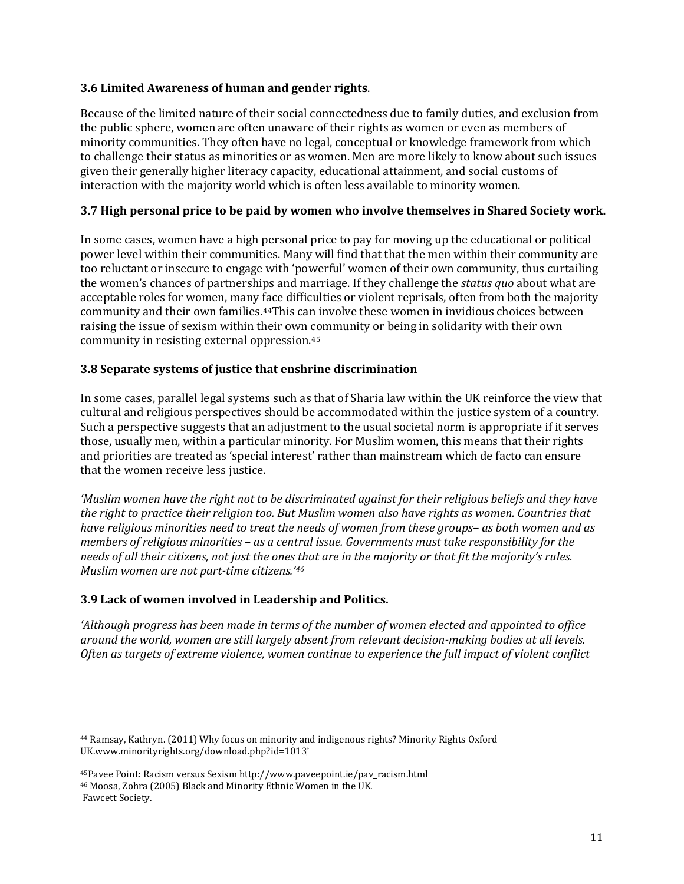## **3.6 Limited Awareness of human and gender rights**.

Because of the limited nature of their social connectedness due to family duties, and exclusion from the public sphere, women are often unaware of their rights as women or even as members of minority communities. They often have no legal, conceptual or knowledge framework from which to challenge their status as minorities or as women. Men are more likely to know about such issues given their generally higher literacy capacity, educational attainment, and social customs of interaction with the majority world which is often less available to minority women.

## **3.7 High personal price to be paid by women who involve themselves in Shared Society work.**

In some cases, women have a high personal price to pay for moving up the educational or political power level within their communities. Many will find that that the men within their community are too reluctant or insecure to engage with 'powerful' women of their own community, thus curtailing the women's chances of partnerships and marriage. If they challenge the *status quo* about what are acceptable roles for women, many face difficulties or violent reprisals, often from both the majority community and their own families.[44T](#page-9-1)his can involve these women in invidious choices between raising the issue of sexism within their own community or being in solidarity with their own community in resisting external oppression.[45](#page-10-0)

#### **3.8 Separate systems of justice that enshrine discrimination**

In some cases, parallel legal systems such as that of Sharia law within the UK reinforce the view that cultural and religious perspectives should be accommodated within the justice system of a country. Such a perspective suggests that an adjustment to the usual societal norm is appropriate if it serves those, usually men, within a particular minority. For Muslim women, this means that their rights and priorities are treated as 'special interest' rather than mainstream which de facto can ensure that the women receive less justice.

*'Muslim women have the right not to be discriminated against for their religious beliefs and they have the right to practice their religion too. But Muslim women also have rights as women. Countries that have religious minorities need to treat the needs of women from these groups– as both women and as members of religious minorities – as a central issue. Governments must take responsibility for the needs of all their citizens, not just the ones that are in the majority or that fit the majority's rules. Muslim women are not part-time citizens.'[46](#page-10-0)*

## **3.9 Lack of women involved in Leadership and Politics.**

*'Although progress has been made in terms of the number of women elected and appointed to office around the world, women are still largely absent from relevant decision-making bodies at all levels. Often as targets of extreme violence, women continue to experience the full impact of violent conflict* 

<span id="page-10-1"></span><span id="page-10-0"></span> <sup>44</sup> Ramsay, Kathryn. (2011) Why focus on minority and indigenous rights? Minority Rights Oxford UK.www.minorityrights.org/download.php?id=1013

<sup>45</sup>Pavee Point: Racism versus Sexism http://www.paveepoint.ie/pav\_racism.html <sup>46</sup> Moosa, Zohra (2005) Black and Minority Ethnic Women in the UK.

Fawcett Society.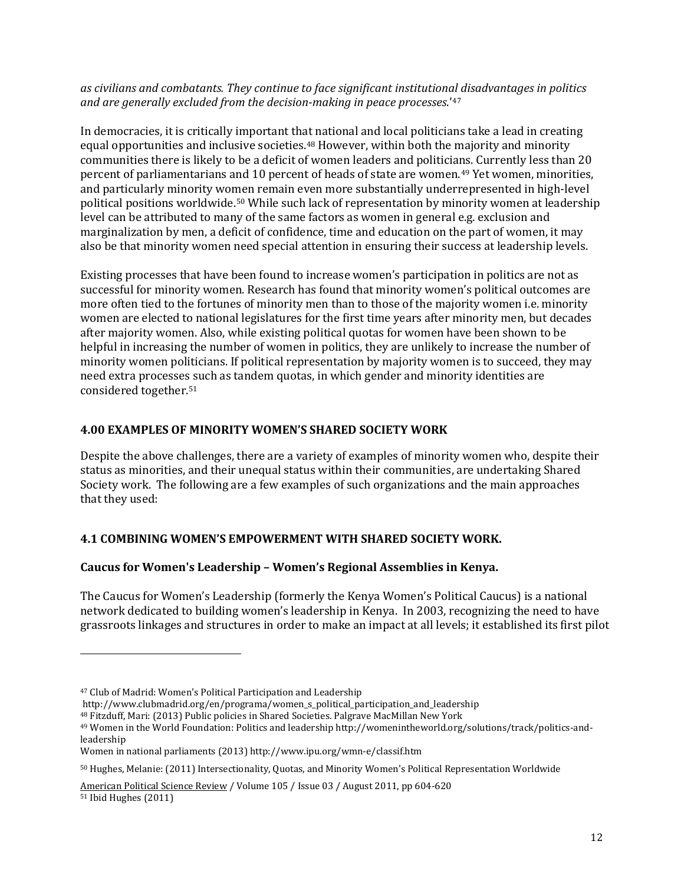*as civilians and combatants. They continue to face significant institutional disadvantages in politics and are generally excluded from the decision-making in peace processes*.'[47](#page-10-1)

In democracies, it is critically important that national and local politicians take a lead in creating equal opportunities and inclusive societies.[48](#page-11-0) However, within both the majority and minority communities there is likely to be a deficit of women leaders and politicia[ns](#page-11-0). Currently less than 20 percent of parliamentarians and 10 percent of heads of state are women.49 Yet women, minorities, and particularly minority women remain even more substantially underrepresented in high-level political positions worldwide.[50](#page-11-0) While such lack of representation by minority women at leadership level can be attributed to many of the same factors as women in general e.g. exclusion and marginalization by men, a deficit of confidence, time and education on the part of women, it may also be that minority women need special attention in ensuring their success at leadership levels.

Existing processes that have been found to increase women's participation in politics are not as successful for minority women. Research has found that minority women's political outcomes are more often tied to the fortunes of minority men than to those of the majority women i.e. minority women are elected to national legislatures for the first time years after minority men, but decades after majority women. Also, while existing political quotas for women have been shown to be helpful in increasing the number of women in politics, they are unlikely to increase the number of minority women politicians. If political representation by majority women is to succeed, they may need extra processes such as tandem quotas, in which gender and minority identities are considered together.[51](#page-11-0)

## **4.00 EXAMPLES OF MINORITY WOMEN'S SHARED SOCIETY WORK**

Despite the above challenges, there are a variety of examples of minority women who, despite their status as minorities, and their unequal status within their communities, are undertaking Shared Society work. The following are a few examples of such organizations and the main approaches that they used:

# **4.1 COMBINING WOMEN'S EMPOWERMENT WITH SHARED SOCIETY WORK.**

# **Caucus for Women's Leadership – Women's Regional Assemblies in Kenya.**

The Caucus for Women's Leadership (formerly the Kenya Women's Political Caucus) is a national network dedicated to building women's leadership in Kenya. In 2003, recognizing the need to have grassroots linkages and structures in order to make an impact at all levels; it established its first pilot

<span id="page-11-0"></span>j

<sup>48</sup> Fitzduff, Mari: (2013) Public policies in Shared Societies. Palgrave MacMillan New York

<span id="page-11-1"></span><sup>50</sup> Hughes, Melanie: (2011) Intersectionality, Quotas, and Minority Women's Political Representation Worldwide

[American](http://journals.cambridge.org/action/displayJournal?jid=PSR) Political Science Review / Volume 105 / Issue 03 / August 2011, pp 604-620 <sup>51</sup> Ibid Hughes (2011)

<sup>47</sup> Club of Madrid: Women's Political Participation and Leadership

http://www.clubmadrid.org/en/programa/women\_s\_political\_participation\_and\_leadership

<sup>49</sup> Women in the World Foundation: Politics and leadershi[p http://womenintheworld.org/solutions/track/politics-and](http://womenintheworld.org/solutions/track/politics-and-leadership)[leadership](http://womenintheworld.org/solutions/track/politics-and-leadership)

Women in national parliaments (2013) http://www.ipu.org/wmn-e/classif.htm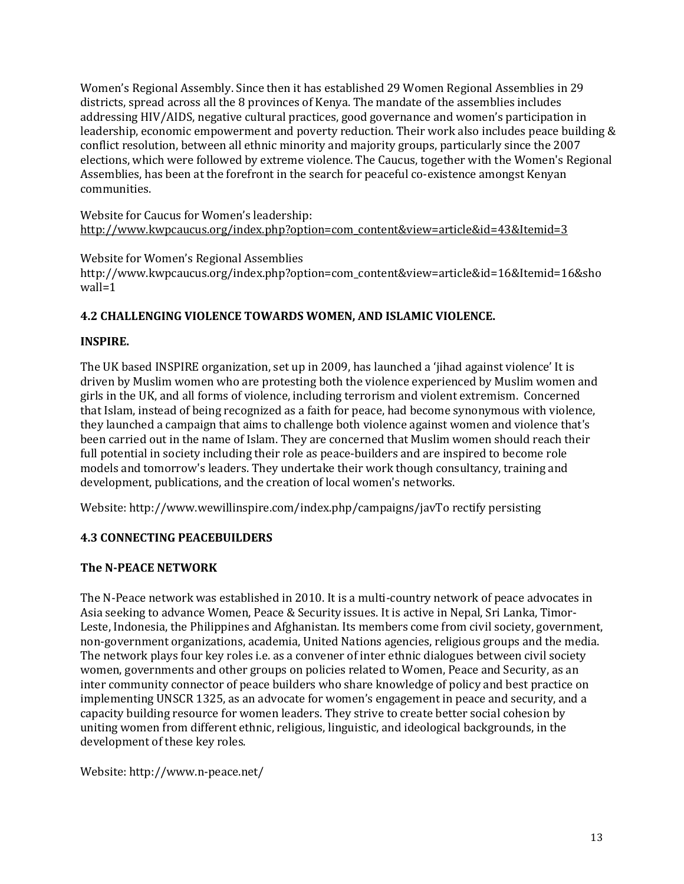Women's Regional Assembly. Since then it has established 29 Women Regional Assemblies in 29 districts, spread across all the 8 provinces of Kenya. The mandate of the assemblies includes addressing HIV/AIDS, negative cultural practices, good governance and women's participation in leadership, economic empowerment and poverty reduction. Their work also includes peace building & conflict resolution, between all ethnic minority and majority groups, particularly since the 2007 elections, which were followed by extreme violence. The Caucus, together with the Women's Regional Assemblies, has been at the forefront in the search for peaceful co-existence amongst Kenyan communities.

Website for Caucus for Women's leadership: [http://www.kwpcaucus.org/index.php?option=com\\_content&view=article&id=43&Itemid=3](http://www.kwpcaucus.org/index.php?option=com_content&view=article&id=43&Itemid=3)

Website for Women's Regional Assemblies http://www.kwpcaucus.org/index.php?option=com\_content&view=article&id=16&Itemid=16&sho wall=1

# **4.2 CHALLENGING VIOLENCE TOWARDS WOMEN, AND ISLAMIC VIOLENCE.**

## **INSPIRE.**

The UK based INSPIRE organization, set up in 2009, has launched a 'jihad against violence' It is driven by Muslim women who are protesting both the violence experienced by Muslim women and girls in the UK, and all forms of violence, including terrorism and violent extremism. Concerned that Islam, instead of being recognized as a faith for peace, had become synonymous with violence, they launched a campaign that aims to challenge both violence against women and violence that's been carried out in the name of Islam. They are concerned that Muslim women should reach their full potential in society including their role as peace-builders and are inspired to become role models and tomorrow's leaders. They undertake their work though consultancy, training and development, publications, and the creation of local women's networks.

Website: http://www.wewillinspire.com/index.php/campaigns/javTo rectify persisting

# **4.3 CONNECTING PEACEBUILDERS**

# **The N-PEACE NETWORK**

The N-Peace network was established in 2010. It is a multi-country network of peace advocates in Asia seeking to advance Women, Peace & Security issues. It is active in Nepal, Sri Lanka, Timor-Leste, Indonesia, the Philippines and Afghanistan. Its members come from civil society, government, non-government organizations, academia, United Nations agencies, religious groups and the media. The network plays four key roles i.e. as a convener of inter ethnic dialogues between civil society women, governments and other groups on policies related to Women, Peace and Security, as an inter community [connector](http://n-peace.net/about-n-peace/connector) of peace builders who share knowledge of policy and best practice on implementing UNSCR 1325, as an [advocate](http://n-peace.net/about-n-peace/advocate) for women's engagement in peace and security, and a capacity building resource for women leaders. They strive to create better social cohesion by uniting women from different ethnic, religious, linguistic, and ideological backgrounds, in the development of these key roles.

Website[: http://www.n-peace.net/](http://www.n-peace.net/)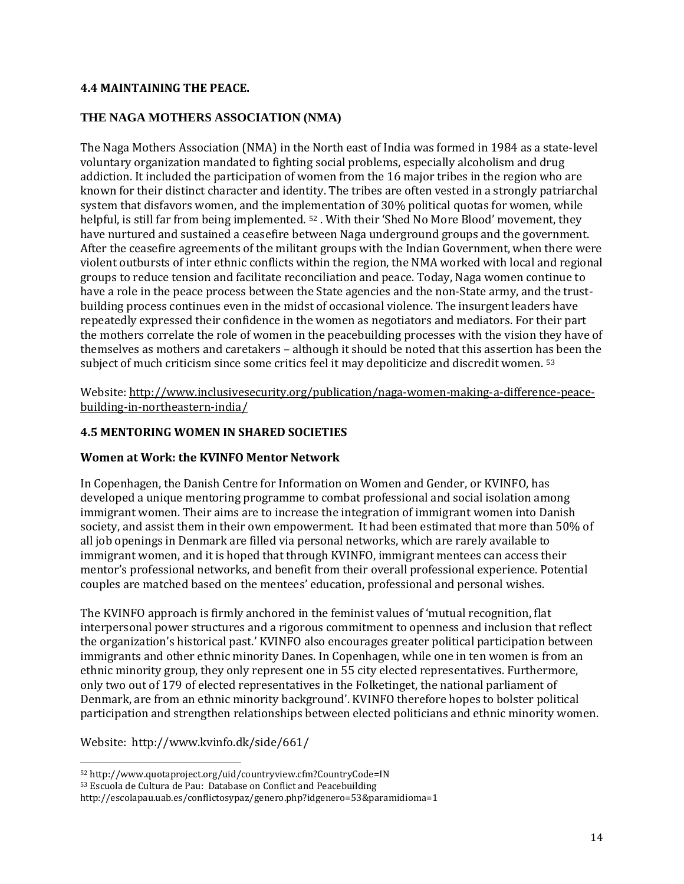#### **4.4 MAINTAINING THE PEACE.**

#### **THE NAGA MOTHERS ASSOCIATION (NMA)**

The Naga Mothers Association (NMA) in the North east of India was formed in 1984 as a state-level voluntary organization mandated to fighting social problems, especially alcoholism and drug addiction. It included the participation of women from the 16 major tribes in the region who are known for their distinct character and identity. The tribes are often vested in a strongly patriarchal system that disfavors women, and the impl[em](#page-11-1)entation of 30% political quotas for women, while helpful, is still far from being implemented. <sup>52</sup>. With their 'Shed No More Blood' movement, they have nurtured and sustained a ceasefire between Naga underground groups and the government. After the ceasefire agreements of the militant groups with the Indian Government, when there were violent outbursts of inter ethnic conflicts within the region, the NMA worked with local and regional groups to reduce tension and facilitate reconciliation and peace. Today, Naga women continue to have a role in the peace process between the State agencies and the non-State army, and the trustbuilding process continues even in the midst of occasional violence. The insurgent leaders have repeatedly expressed their confidence in the women as negotiators and mediators. For their part the mothers correlate the role of women in the peacebuilding processes with the vision they have of themselves as mothers and caretakers – although it should be noted that this assertion has been the subject of much criticism since some critics feel it may depoliticize and discredit women. [53](#page-13-0)

Website[: http://www.inclusivesecurity.org/publication/naga-women-making-a-difference-peace](http://www.inclusivesecurity.org/publication/naga-women-making-a-difference-peace-building-in-northeastern-india/)[building-in-northeastern-india/](http://www.inclusivesecurity.org/publication/naga-women-making-a-difference-peace-building-in-northeastern-india/)

#### **4.5 MENTORING WOMEN IN SHARED SOCIETIES**

#### **Women at Work: the KVINFO Mentor Network**

In Copenhagen, the Danish Centre for Information on Women and Gender, o[r KVINFO,](http://www.kvinfo.dk/) has developed a unique mentoring programme to combat professional and social isolation among immigrant women. Their aims are to increase the integration of immigrant women into Danish society, and assist them in their own empowerment. It had been estimated that more than 50% of all job openings in Denmark are filled via personal networks, which are rarely available to immigrant women, and it is hoped that through KVINFO, immigrant mentees can access their mentor's professional networks, and benefit from their overall professional experience. Potential couples are matched based on the mentees' education, professional and personal wishes.

The KVINFO approach is firmly anchored in the feminist values of 'mutual recognition, flat interpersonal power structures and a rigorous commitment to openness and inclusion that reflect the organization's historical past.' KVINFO also encourages greater political participation between immigrants and other ethnic minority Danes. In Copenhagen, while one in ten women is from an ethnic minority group, they only represent one in 55 city elected representatives. Furthermore, only two out of 179 of elected representatives in the Folketinget, the national parliament of Denmark, are from an ethnic minority background'. KVINFO therefore hopes to bolster political participation and strengthen relationships between elected politicians and ethnic minority women.

Website: http://www.kvinfo.dk/side/661/

<span id="page-13-0"></span> <sup>52</sup> http://www.quotaproject.org/uid/countryview.cfm?CountryCode=IN

<sup>53</sup> Escuola de Cultura de Pau: Database on Conflict and Peacebuilding

<span id="page-13-1"></span>http://escolapau.uab.es/conflictosypaz/genero.php?idgenero=53&paramidioma=1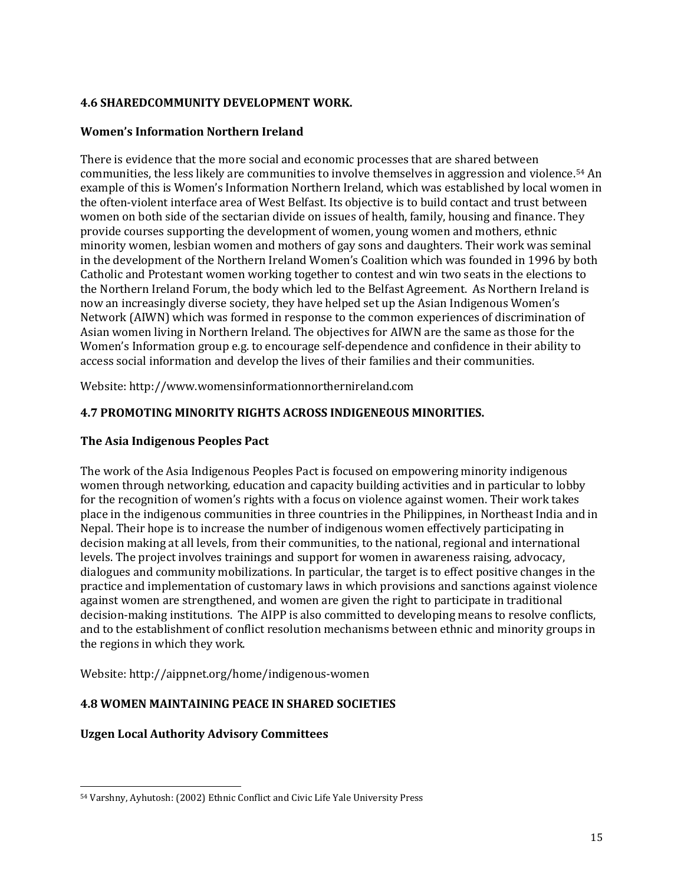## **4.6 SHAREDCOMMUNITY DEVELOPMENT WORK.**

#### **Women's Information Northern Ireland**

There is evidence that the more social and economic processes that are shared between communities, the less likely are communities to involve themselves in aggression and violence.[54](#page-13-1) An example of this is Women's Information Northern Ireland, which was established by local women in the often-violent interface area of West Belfast. Its objective is to build contact and trust between women on both side of the sectarian divide on issues of health, family, housing and finance. They provide courses supporting the development of women, young women and mothers, ethnic minority women, lesbian women and mothers of gay sons and daughters. Their work was seminal in the development of the Northern Ireland Women's Coalition which was founded in 1996 by both Catholic and Protestant women working together to contest and win two seats in the elections to th[e Northern Ireland Forum,](http://en.wikipedia.org/wiki/Northern_Ireland_Forum) the body which led to th[e Belfast Agreement.](http://en.wikipedia.org/wiki/Belfast_Agreement) As Northern Ireland is now an increasingly diverse society, they have helped set up the Asian Indigenous Women's Network (AIWN) which was formed in response to the common experiences of discrimination of Asian women living in Northern Ireland. The objectives for AIWN are the same as those for the Women's Information group e.g. to encourage self-dependence and confidence in their ability to access social information and develop the lives of their families and their communities.

Website: http://www.womensinformationnorthernireland.com

#### **4.7 PROMOTING MINORITY RIGHTS ACROSS INDIGENEOUS MINORITIES.**

#### **The Asia Indigenous Peoples Pact**

The work of the Asia Indigenous Peoples Pact is focused on empowering minority indigenous women through networking, education and capacity building activities and in particular to lobby for the recognition of women's rights with a focus on violence against women. Their work takes place in the indigenous communities in three countries in the Philippines, in Northeast India and in Nepal. Their hope is to increase the number of indigenous women effectively participating in decision making at all levels, from their communities, to the national, regional and international levels. The project involves trainings and support for women in awareness raising, advocacy, dialogues and community mobilizations. In particular, the target is to effect positive changes in the practice and implementation of customary laws in which provisions and sanctions against violence against women are strengthened, and women are given the right to participate in traditional decision-making institutions. The AIPP is also committed to developing means to resolve conflicts, and to the establishment of conflict resolution mechanisms between ethnic and minority groups in the regions in which they work.

Website: http://aippnet.org/home/indigenous-women

## **4.8 WOMEN MAINTAINING PEACE IN SHARED SOCIETIES**

## **Uzgen Local Authority Advisory Committees**

 <sup>54</sup> Varshny, Ayhutosh: (2002) Ethnic Conflict and Civic Life Yale University Press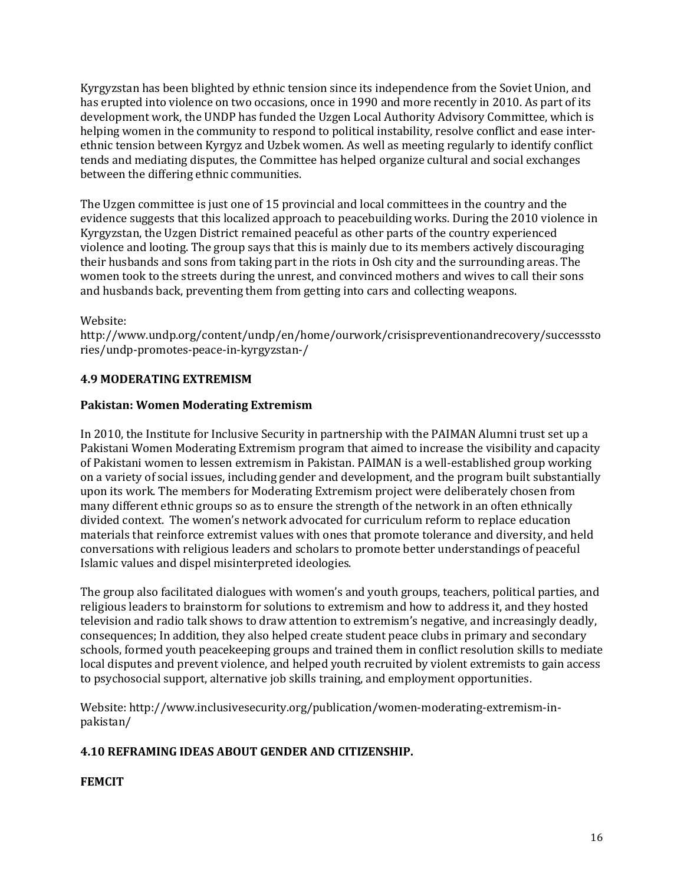Kyrgyzstan has been blighted by ethnic tension since its independence from the Soviet Union, and has erupted into violence on two occasions, once in 1990 and more recently in 2010. As part of its development work, the UNDP has funded the Uzgen Local Authority Advisory Committee, which is helping women in the community to respond to political instability, resolve conflict and ease interethnic tension between Kyrgyz and Uzbek women. As well as meeting regularly to identify conflict tends and mediating disputes, the Committee has helped organize cultural and social exchanges between the differing ethnic communities.

The Uzgen committee is just one of 15 provincial and local committees in the country and the evidence suggests that this localized approach to peacebuilding works. During the 2010 violence in Kyrgyzstan, the Uzgen District remained peaceful as other parts of the country experienced violence and looting. The group says that this is mainly due to its members actively discouraging their husbands and sons from taking part in the riots in Osh city and the surrounding areas. The women took to the streets during the unrest, and convinced mothers and wives to call their sons and husbands back, preventing them from getting into cars and collecting weapons.

## Website:

http://www.undp.org/content/undp/en/home/ourwork/crisispreventionandrecovery/successsto ries/undp-promotes-peace-in-kyrgyzstan-/

#### **4.9 MODERATING EXTREMISM**

#### **Pakistan: Women Moderating Extremism**

In 2010, the Institute for Inclusive Security in partnership with the PAIMAN Alumni trust set up a Pakistani Women Moderating Extremism program that aimed to increase the visibility and capacity of Pakistani women to lessen extremism in Pakistan. PAIMAN is a well-established group working on a variety of social issues, including gender and development, and the program built substantially upon its work. The members for Moderating Extremism project were deliberately chosen from many different ethnic groups so as to ensure the strength of the network in an often ethnically divided context. The women's network advocated for curriculum reform to replace education materials that reinforce extremist values with ones that promote tolerance and diversity, and held conversations with religious leaders and scholars to promote better understandings of peaceful Islamic values and dispel misinterpreted ideologies.

The group also facilitated dialogues with women's and youth groups, teachers, political parties, and religious leaders to brainstorm for solutions to extremism and how to address it, and they hosted television and radio talk shows to draw attention to extremism's negative, and increasingly deadly, consequences; In addition, they also helped create student peace clubs in primary and secondary schools, formed youth peacekeeping groups and trained them in conflict resolution skills to mediate local disputes and prevent violence, and helped youth recruited by violent extremists to gain access to psychosocial support, alternative job skills training, and employment opportunities.

Website: http://www.inclusivesecurity.org/publication/women-moderating-extremism-inpakistan/

## **4.10 REFRAMING IDEAS ABOUT GENDER AND CITIZENSHIP.**

## **FEMCIT**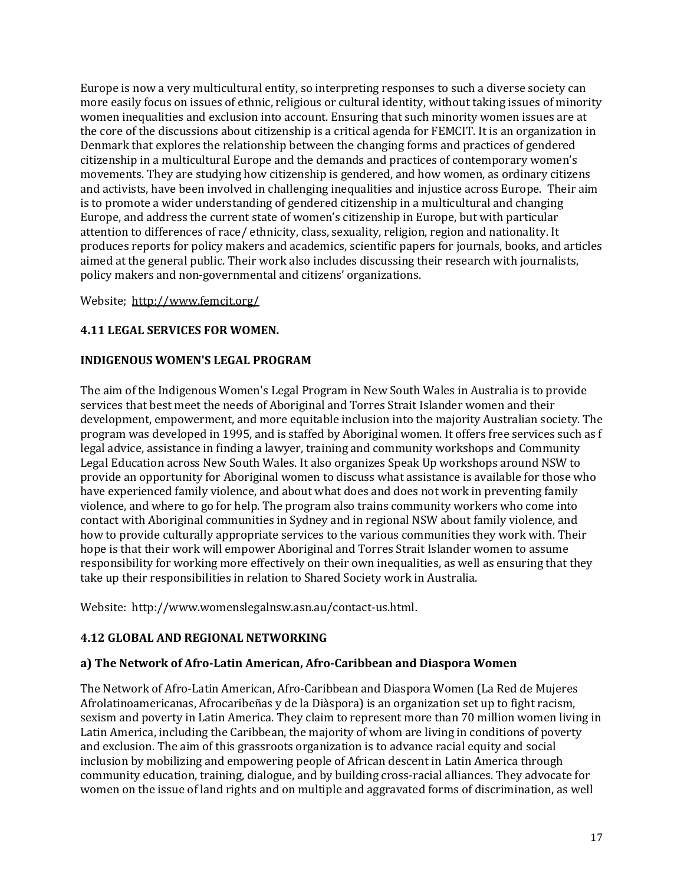Europe is now a very multicultural entity, so interpreting responses to such a diverse society can more easily focus on issues of ethnic, religious or cultural identity, without taking issues of minority women inequalities and exclusion into account. Ensuring that such minority women issues are at the core of the discussions about citizenship is a critical agenda for FEMCIT. It is an organization in Denmark that explores the relationship between the changing forms and practices of gendered citizenship in a multicultural Europe and the demands and practices of contemporary women's movements. They are studying how citizenship is gendered, and how women, as ordinary citizens and activists, have been involved in challenging inequalities and injustice across Europe. Their aim is to promote a wider understanding of gendered citizenship in a multicultural and changing Europe, and address the current state of women's citizenship in Europe, but with particular attention to differences of race/ ethnicity, class, sexuality, religion, region and nationality. It produces reports for policy makers and academics, scientific papers for journals, books, and articles aimed at the general public. Their work also includes discussing their research with journalists, policy makers and non-governmental and citizens' organizations.

Website; <http://www.femcit.org/>

## **4.11 LEGAL SERVICES FOR WOMEN.**

#### **INDIGENOUS WOMEN'S LEGAL PROGRAM**

The aim of the Indigenous Women's Legal Program in New South Wales in Australia is to provide services that best meet the needs of Aboriginal and Torres Strait Islander women and their development, empowerment, and more equitable inclusion into the majority Australian society. The program was developed in 1995, and is staffed by Aboriginal women. It offers free services such as f legal advice, assistance in finding a lawyer, training and community workshops and Community Legal Education across New South Wales. It also organizes Speak Up workshops around NSW to provide an opportunity for Aboriginal women to discuss what assistance is available for those who have experienced family violence, and about what does and does not work in preventing family violence, and where to go for help. The program also trains community workers who come into contact with Aboriginal communities in Sydney and in regional NSW about family violence, and how to provide culturally appropriate services to the various communities they work with. Their hope is that their work will empower Aboriginal and Torres Strait Islander women to assume responsibility for working more effectively on their own inequalities, as well as ensuring that they take up their responsibilities in relation to Shared Society work in Australia.

Website: http://www.womenslegalnsw.asn.au/contact-us.html.

## **4.12 GLOBAL AND REGIONAL NETWORKING**

## **a) The Network of Afro-Latin American, Afro-Caribbean and Diaspora Women**

The Network of Afro-Latin American, Afro-Caribbean and Diaspora Women (La Red de Mujeres Afrolatinoamericanas, Afrocaribeñas y de la Diàspora) is an organization set up to fight racism, sexism and poverty in Latin America. They claim to represent more than 70 million women living in Latin America, including the Caribbean, the majority of whom are living in conditions of poverty and exclusion. The aim of this grassroots organization is to advance racial equity and social inclusion by mobilizing and empowering people of African descent in Latin America through community education, training, dialogue, and by building cross-racial alliances. They advocate for women on the issue of land rights and on multiple and aggravated forms of discrimination, as well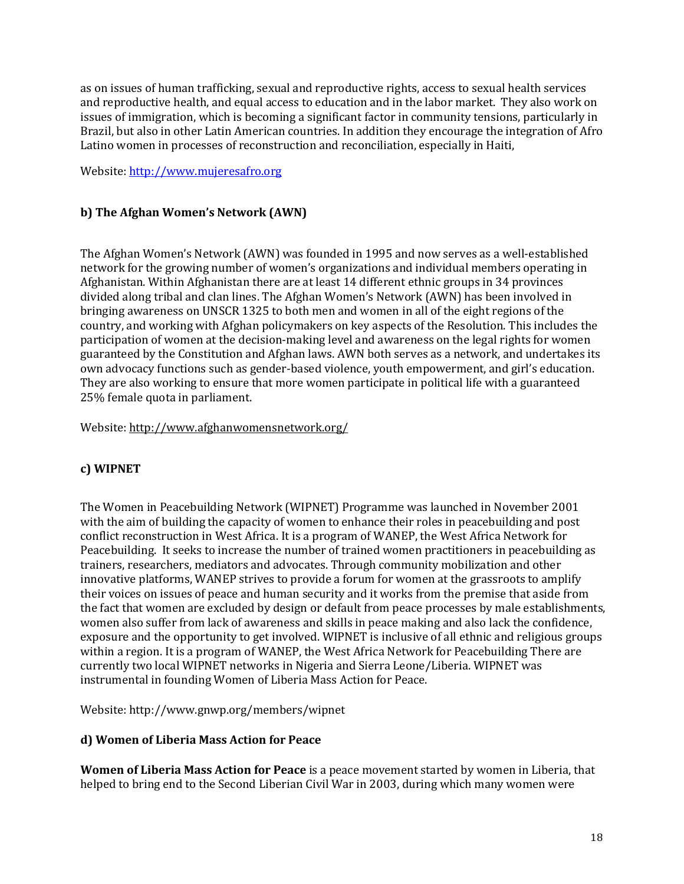as on issues of human trafficking, sexual and reproductive rights, access to sexual health services and reproductive health, and equal access to education and in the labor market. They also work on issues of immigration, which is becoming a significant factor in community tensions, particularly in Brazil, but also in other Latin American countries. In addition they encourage the integration of Afro Latino women in processes of reconstruction and reconciliation, especially in Haiti,

Website[: http://www.mujeresafro.org](http://www.mujeresafro.org/)

# **b) The Afghan Women's Network (AWN)**

The Afghan Women's Network (AWN) was founded in 1995 and now serves as a well-established network for the growing number of women's organizations and individual members operating in Afghanistan. Within Afghanistan there are at least 14 different ethnic groups in 34 provinces divided along tribal and clan lines. The Afghan Women's Network (AWN) has been involved in bringing awareness on UNSCR 1325 to both men and women in all of the eight regions of the country, and working with Afghan policymakers on key aspects of the Resolution. This includes the participation of women at the decision-making level and awareness on the legal rights for women guaranteed by the Constitution and Afghan laws. AWN both serves as a network, and undertakes its own advocacy functions such as gender-based violence, youth empowerment, and girl's education. They are also working to ensure that more women participate in political life with a guaranteed 25% female quota in parliament.

Website[: http://www.afghanwomensnetwork.org/](http://www.afghanwomensnetwork.org/)

# **c) WIPNET**

The Women in Peacebuilding Network (WIPNET) Programme was launched in November 2001 with the aim of building the capacity of women to enhance their roles in peacebuilding and post conflict reconstruction in West Africa. It is a program of WANEP, the West Africa Network for Peacebuilding. It seeks to increase the number of trained women practitioners in peacebuilding as trainers, researchers, mediators and advocates. Through community mobilization and other innovative platforms, WANEP strives to provide a forum for women at the grassroots to amplify their voices on issues of peace and human security and it works from the premise that aside from the fact that women are excluded by design or default from peace processes by male establishments, women also suffer from lack of awareness and skills in peace making and also lack the confidence, exposure and the opportunity to get involved. WIPNET is inclusive of all ethnic and religious groups within a region. It is a program of WANEP, the West Africa Network for Peacebuilding There are currently two local WIPNET networks in Nigeria and Sierra Leone/Liberia. WIPNET was instrumental in founding Women of Liberia Mass Action for Peace.

Website: http://www.gnwp.org/members/wipnet

## **d) Women of Liberia Mass Action for Peace**

**Women of Liberia Mass Action for Peace** is a peace movement started by women in Liberia, that helped to bring end to the Second Liberian Civil War in 2003, during which many women were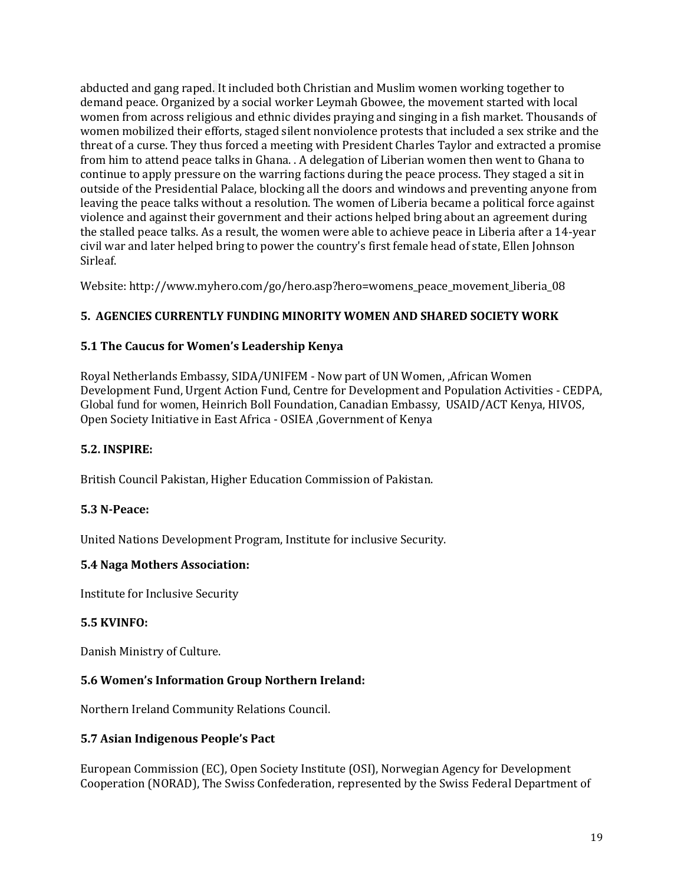abducted and gang raped. It included both Christian and Muslim women working together to demand peace. Organized by a social worker Leymah Gbowee, the movement started with local women from across religious and ethnic divides praying and singing in a fish market. Thousands of women mobilized their efforts, staged silent nonviolence protests that included a [sex strike](http://en.wikipedia.org/wiki/Sex_strike) and the threat of [a curse.](http://en.wikipedia.org/wiki/Anasyrma) They thus forced a meeting with President Charles Taylor and extracted a promise from him to attend peace talks in Ghana. . A delegation of Liberian women then went to Ghana to continue to apply pressure on the warring factions during the peace process. They staged a sit in outside of the Presidential Palace, blocking all the doors and windows and preventing anyone from leaving the peace talks without a resolution. The women of Liberia became a political force against violence and against their government and their actions helped bring about an agreement during the stalled peace talks. As a result, the women were able to achieve peace in Liberia after a 14-year civil war and later helped bring to power the country's first female head of state, Ellen Johnson Sirleaf.

Website: http://www.myhero.com/go/hero.asp?hero=womens\_peace\_movement\_liberia\_08

# **5. AGENCIES CURRENTLY FUNDING MINORITY WOMEN AND SHARED SOCIETY WORK**

## **5.1 The Caucus for Women's Leadership Kenya**

Royal Netherlands Embassy, SIDA/UNIFEM - Now part of UN Women, ,African Women Development Fund, Urgent Action Fund, Centre for Development and Population Activities - CEDPA, Global fund for women, Heinrich Boll Foundation, Canadian Embassy, USAID/ACT Kenya, HIVOS, Open Society Initiative in East Africa - OSIEA ,Government of Kenya

## **5.2. INSPIRE:**

British Council Pakistan, Higher Education Commission of Pakistan.

## **5.3 N-Peace:**

United Nations Development Program, Institute for inclusive Security.

## **5.4 Naga Mothers Association:**

Institute for Inclusive Security

## **5.5 KVINFO:**

Danish Ministry of Culture.

## **5.6 Women's Information Group Northern Ireland:**

Northern Ireland Community Relations Council.

#### **5.7 Asian Indigenous People's Pact**

European Commission (EC), Open Society Institute (OSI), Norwegian Agency for Development Cooperation (NORAD), The Swiss Confederation, represented by the Swiss Federal Department of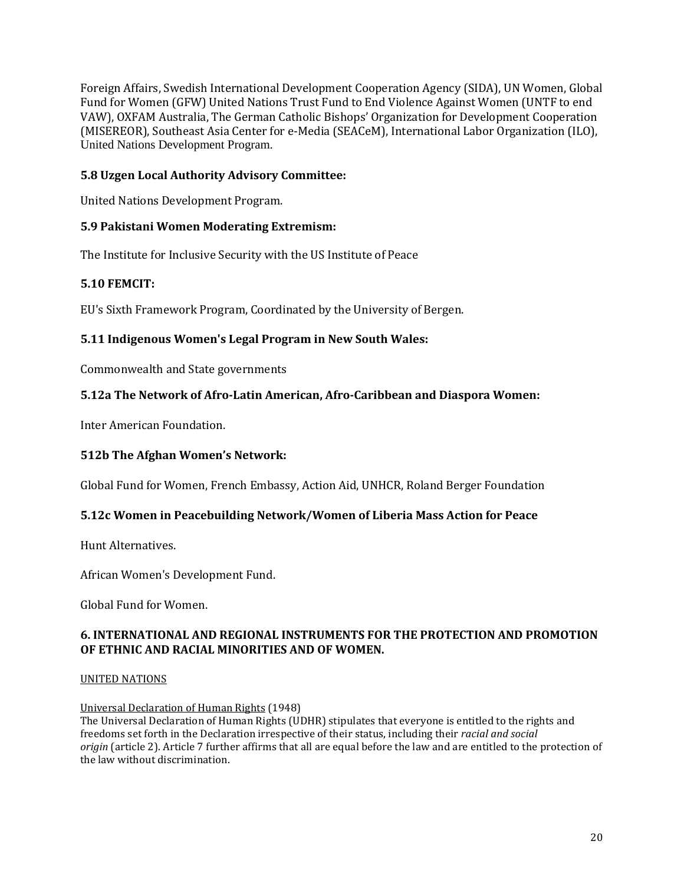Foreign Affairs, Swedish International Development Cooperation Agency (SIDA), UN Women, Global Fund for Women (GFW) United Nations Trust Fund to End Violence Against Women (UNTF to end VAW), OXFAM Australia, The German Catholic Bishops' Organization for Development Cooperation (MISEREOR), Southeast Asia Center for e-Media (SEACeM), International Labor Organization (ILO), United Nations Development Program.

## **5.8 Uzgen Local Authority Advisory Committee:**

United Nations Development Program.

## **5.9 Pakistani Women Moderating Extremism:**

The Institute for Inclusive Security with the US Institute of Peace

#### **5.10 FEMCIT:**

EU's Sixth Framework Program, Coordinated by the University of Bergen.

#### **5.11 Indigenous Women's Legal Program in New South Wales:**

Commonwealth and State governments

#### **5.12a The Network of Afro-Latin American, Afro-Caribbean and Diaspora Women:**

Inter American Foundation.

#### **512b The Afghan Women's Network:**

Global Fund for Women[, French Embassy,](http://en.wikipedia.org/wiki/French_Embassy) [Action Aid,](http://en.wikipedia.org/wiki/ActionAid) [UNHCR,](http://en.wikipedia.org/wiki/UNHCR) Roland Berger Foundation

#### **5.12c Women in Peacebuilding Network/Women of Liberia Mass Action for Peace**

Hunt Alternatives.

African Women's Development Fund.

Global Fund for Women.

#### **6. INTERNATIONAL AND REGIONAL INSTRUMENTS FOR THE PROTECTION AND PROMOTION OF ETHNIC AND RACIAL MINORITIES AND OF WOMEN.**

#### [UNITED NATIONS](http://www.un.org/)

#### [Universal Declaration of Human Rights](http://www.hrea.org/erc/Library/display.php?doc_id=445&category_id=24&category_type=3) (1948)

The Universal Declaration of Human Rights (UDHR) stipulates that everyone is entitled to the rights and freedoms set forth in the Declaration irrespective of their status, including their *racial and social origin* (article 2). Article 7 further affirms that all are equal before the law and are entitled to the protection of the law without discrimination.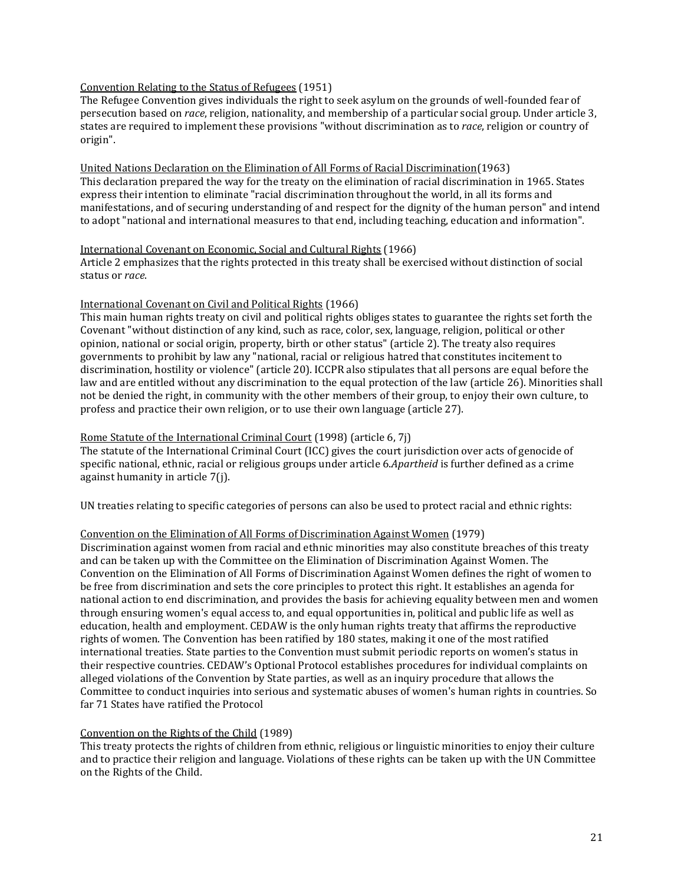#### [Convention Relating to the Status of Refugees](http://www.hrea.org/erc/Library/display.php?doc_id=467&category_id=28&category_type=3&group=Human%20rights%20treaties%20and%20other%20instruments) (1951)

The Refugee Convention gives individuals the right to seek asylum on the grounds of well-founded fear of persecution based on *race*, religion, nationality, and membership of a particular social group. Under article 3, states are required to implement these provisions "without discrimination as to *race*, religion or country of origin".

#### [United Nations Declaration on the Elimination of All Forms of Racial Discrimination\(](http://www.hrea.org/erc/Library/display.php?doc_id=596&category_id=35&category_type=3&group=Human%20rights%20treaties%20and%20other%20instruments)1963) This declaration prepared the way for the treaty on the elimination of racial discrimination in 1965. States express their intention to eliminate "racial discrimination throughout the world, in all its forms and manifestations, and of securing understanding of and respect for the dignity of the human person" and intend to adopt "national and international measures to that end, including teaching, education and information".

#### [International Covenant on Economic, Social and Cultural Rights](http://www.hrea.org/erc/Library/display.php?doc_id=451&category_id=24&category_type=3) (1966)

Article 2 emphasizes that the rights protected in this treaty shall be exercised without distinction of social status or *race*.

#### [International Covenant on Civil and Political Rights](http://www.hrea.org/erc/Library/hrdocs/un/iccpr/english.html) (1966)

This main human rights treaty on civil and political rights obliges states to guarantee the rights set forth the Covenant "without distinction of any kind, such as race, color, sex, language, religion, political or other opinion, national or social origin, property, birth or other status" (article 2). The treaty also requires governments to prohibit by law any "national, racial or religious hatred that constitutes incitement to discrimination, hostility or violence" (article 20). ICCPR also stipulates that all persons are equal before the law and are entitled without any discrimination to the equal protection of the law (article 26). Minorities shall not be denied the right, in community with the other members of their group, to enjoy their own culture, to profess and practice their own religion, or to use their own language (article 27).

#### [Rome Statute of the International Criminal Court](http://www1.umn.edu/humanrts/instree/Rome_Statute_ICC/Rome_ICC_toc.html) (1998) (article 6, 7j)

The statute of the International Criminal Court (ICC) gives the court jurisdiction over acts of genocide of specific national, ethnic, racial or religious groups under article 6.*Apartheid* is further defined as a crime against humanity in article 7(j).

UN treaties relating to specific categories of persons can also be used to protect racial and ethnic rights:

#### [Convention on the Elimination of All Forms of Discrimination Against Women](http://www.hrea.org/erc/Library/display.php?doc_id=483&category_id=31&category_type=3&group=Human%20rights%20treaties%20and%20other%20instruments) (1979)

Discrimination against women from racial and ethnic minorities may also constitute breaches of this treaty and can be taken up with the Committee on the Elimination of Discrimination Against Women. The Convention on the Elimination of All Forms of Discrimination Against Women defines the right of women to be free from discrimination and sets the core principles to protect this right. It establishes an agenda for national action to end discrimination, and provides the basis for achieving equality between men and women through ensuring women's equal access to, and equal opportunities in, political and public life as well as education, health and employment. CEDAW is the only human rights treaty that affirms the reproductive rights of women. The Convention has been ratified by 180 states, making it one of the most ratified international treaties. State parties to the Convention must submit periodic reports on women's status in their respective countries. CEDAW's Optional Protocol establishes procedures for individual complaints on alleged violations of the Convention by State parties, as well as an inquiry procedure that allows the Committee to conduct inquiries into serious and systematic abuses of women's human rights in countries. So far 71 States have ratified the Protocol

#### [Convention on the Rights of the Child](http://www.hrea.org/erc/Library/display.php?doc_id=473&category_id=29&category_type=3&group=Human%20rights%20treaties%20and%20other%20instruments) (1989)

This treaty protects the rights of children from ethnic, religious or linguistic minorities to enjoy their culture and to practice their religion and language. Violations of these rights can be taken up with the UN Committee on the Rights of the Child.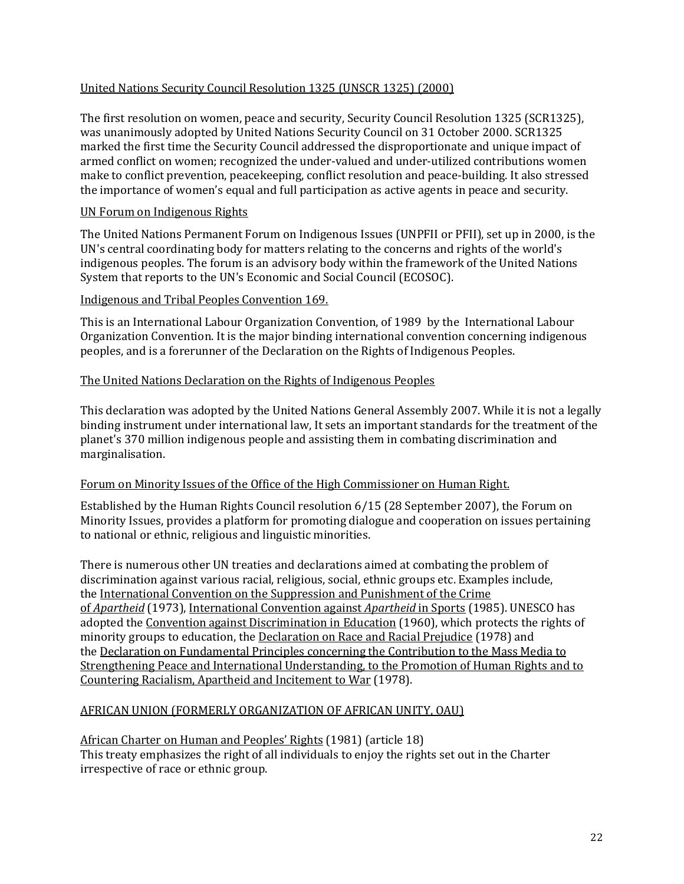## United Nations Security Council Resolution 1325 (UNSCR 1325) (2000)

The first resolution on women, peace and security, Security Council Resolution 1325 (SCR1325), was unanimously adopted by United Nations Security Council on 31 October 2000. SCR1325 marked the first time the Security Council addressed the disproportionate and unique impact of armed conflict on women; recognized the under-valued and under-utilized contributions women make to conflict prevention, peacekeeping, conflict resolution and peace-building. It also stressed the importance of women's equal and full participation as active agents in peace and security.

#### UN Forum on Indigenous Rights

The United Nations Permanent Forum on Indigenous Issues (UNPFII or PFII), set up in 2000, is the UN's central coordinating body for matters relating to the concerns and [rights](http://en.wikipedia.org/wiki/Collective_rights) of the world's [indigenous peoples.](http://en.wikipedia.org/wiki/Indigenous_peoples) The forum is an advisory body within the framework of the [United Nations](http://en.wikipedia.org/wiki/United_Nations_System)  [System](http://en.wikipedia.org/wiki/United_Nations_System) that reports to th[e UN](http://en.wikipedia.org/wiki/United_Nations)'s [Economic and Social Council](http://en.wikipedia.org/wiki/United_Nations_Economic_and_Social_Council) (ECOSOC).

#### Indigenous and Tribal Peoples Convention 169.

This is an [International Labour Organization](http://en.wikipedia.org/wiki/International_Labour_Organization) [Convention,](http://en.wikipedia.org/wiki/International_Labour_Organization#International_Labour_Conference) of 1989 by the [International Labour](http://en.wikipedia.org/wiki/International_Labour_Organization)  [Organization](http://en.wikipedia.org/wiki/International_Labour_Organization) [Convention.](http://en.wikipedia.org/wiki/International_Labour_Organization#International_Labour_Conference) It is the major binding international convention concerning [indigenous](http://en.wikipedia.org/wiki/Indigenous_peoples)  [peoples,](http://en.wikipedia.org/wiki/Indigenous_peoples) and is a forerunner of th[e Declaration on the Rights of Indigenous Peoples.](http://en.wikipedia.org/wiki/Declaration_on_the_Rights_of_Indigenous_Peoples)

#### The United Nations Declaration on the Rights of Indigenous Peoples

This declaration was adopted by the [United Nations General Assembly](http://en.wikipedia.org/wiki/United_Nations_General_Assembly) 2007. While it is not a legally binding instrument under [international law,](http://en.wikipedia.org/wiki/International_law) It sets an important standards for the treatment of the planet's 370 million indigenous people and assisting them in combating [discrimination](http://en.wikipedia.org/wiki/Discrimination) and [marginalisation.](http://en.wikipedia.org/wiki/Marginalisation)

#### Forum on Minority Issues of the Office of the High Commissioner on Human Right.

Established by the Human Rights Council resolution 6/15 (28 September 2007), the [Forum on](http://www.ohchr.org/EN/HRBodies/HRC/Minority/Pages/ForumIndex.aspx)  [Minority Issues,](http://www.ohchr.org/EN/HRBodies/HRC/Minority/Pages/ForumIndex.aspx) provides a platform for promoting dialogue and cooperation on issues pertaining to national or ethnic, religious and linguistic minorities.

There is numerous other UN treaties and declarations aimed at combating the problem of discrimination against various racial, religious, social, ethnic groups etc. Examples include, the [International Convention on the Suppression and Punishment of the Crime](http://www.hrea.org/erc/Library/display.php?doc_id=930&category_id=35&category_type=3&group=Human%20rights%20treaties%20and%20other%20instruments)  of *[Apartheid](http://www.hrea.org/erc/Library/display.php?doc_id=930&category_id=35&category_type=3&group=Human%20rights%20treaties%20and%20other%20instruments)* (1973), [International Convention against](http://www.hrea.org/erc/Library/display.php?doc_id=931&category_id=35&category_type=3&group=Human%20rights%20treaties%20and%20other%20instruments) *Apartheid* in Sports (1985). UNESCO has adopted the [Convention against Discrimination in Education](http://www.hrea.org/erc/Library/display.php?doc_id=883&category_id=35&category_type=3&group=Human%20rights%20treaties%20and%20other%20instruments) (1960), which protects the rights of minority groups to education, the [Declaration on Race and Racial Prejudice](http://www.hrea.org/erc/Library/display.php?doc_id=936&category_id=35&category_type=3&group=Human%20rights%20treaties%20and%20other%20instruments) (1978) and the [Declaration on Fundamental Principles concerning the Contribution to the Mass Media to](http://www.hrea.org/erc/Library/display.php?doc_id=935&category_id=35&category_type=3&group=Human%20rights%20treaties%20and%20other%20instruments)  [Strengthening Peace and International Understanding, to the Promotion of Human Rights and to](http://www.hrea.org/erc/Library/display.php?doc_id=935&category_id=35&category_type=3&group=Human%20rights%20treaties%20and%20other%20instruments)  [Countering Racialism, Apartheid and Incitement to War](http://www.hrea.org/erc/Library/display.php?doc_id=935&category_id=35&category_type=3&group=Human%20rights%20treaties%20and%20other%20instruments) (1978).

## [AFRICAN UNION \(FORMERLY ORGANIZATION OF AFRICAN UNITY, OAU\)](http://www.africa-union.org/)

[African Charter on Human and Peoples' Rights](http://www1.umn.edu/humanrts/instree/z1afchar.htm) (1981) (article 18) This treaty emphasizes the right of all individuals to enjoy the rights set out in the Charter irrespective of race or ethnic group.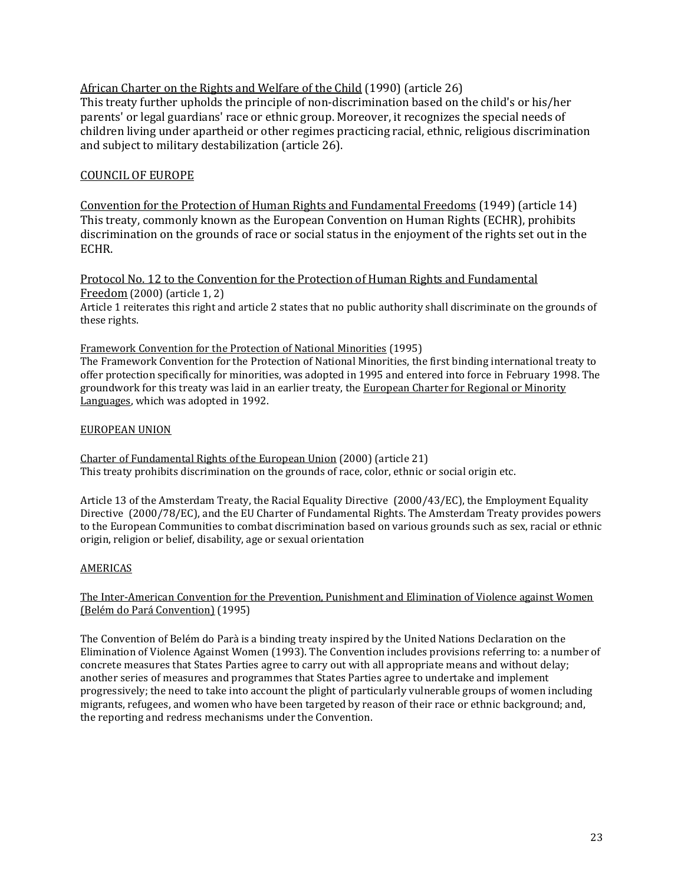[African Charter on the Rights and Welfare of the Child](http://www.hrea.org/erc/Library/display.php?doc_id=476&category_id=29&category_type=3&group=Human%20rights%20treaties%20and%20other%20instruments) (1990) (article 26) This treaty further upholds the principle of non-discrimination based on the child's or his/her parents' or legal guardians' race or ethnic group. Moreover, it recognizes the special needs of

children living under apartheid or other regimes practicing racial, ethnic, religious discrimination and subject to military destabilization (article 26).

## [COUNCIL OF EUROPE](http://www.coe.int/)

[Convention for the Protection of Human Rights and Fundamental Freedoms](http://www.hrea.org/erc/Library/hrdocs/coe/echr.html) (1949) (article 14) This treaty, commonly known as the European Convention on Human Rights (ECHR), prohibits discrimination on the grounds of race or social status in the enjoyment of the rights set out in the ECHR.

[Protocol No. 12 to the Convention for the Protection of Human Rights and Fundamental](http://www1.umn.edu/humanrts/euro/z31prot12.html)  [Freedom](http://www1.umn.edu/humanrts/euro/z31prot12.html) (2000) (article 1, 2) Article 1 reiterates this right and article 2 states that no public authority shall discriminate on the grounds of these rights.

#### [Framework Convention for the Protection of National Minorities](http://www1.umn.edu/humanrts/euro/ets157.html) (1995)

The Framework Convention for the Protection of National Minorities, the first binding international treaty to offer protection specifically for minorities, was adopted in 1995 and entered into force in February 1998. The groundwork for this treaty was laid in an earlier treaty, the [European Charter for Regional or Minority](http://www1.umn.edu/humanrts/euro/ets148.html)  [Languages,](http://www1.umn.edu/humanrts/euro/ets148.html) which was adopted in 1992.

#### [EUROPEAN UNION](http://www.europa.eu.int/index_en.htm)

[Charter of Fundamental Rights of the European Union](http://www1.umn.edu/humanrts/instree/europeanunion2.html) (2000) (article 21) This treaty prohibits discrimination on the grounds of race, color, ethnic or social origin etc.

Article 13 of the Amsterdam Treaty, the Racial Equality Directive (2000/43/EC), the Employment Equality Directive (2000/78/EC), and the EU Charter of Fundamental Rights. The Amsterdam Treaty provides powers to the European Communities to combat discrimination based on various grounds such as sex, racial or ethnic origin, religion or belief, disability, age or sexual orientation

#### AMERICAS

The Inter-American Convention for the Prevention, Punishment and Elimination of Violence against Women (Belém do Pará Convention) (1995)

The Convention of Belém do Parà is a binding treaty inspired by the United Nations Declaration on the Elimination of Violence Against Women (1993). The Convention includes provisions referring to: a number of concrete measures that States Parties agree to carry out with all appropriate means and without delay; another series of measures and programmes that States Parties agree to undertake and implement progressively; the need to take into account the plight of particularly vulnerable groups of women including migrants, refugees, and women who have been targeted by reason of their race or ethnic background; and, the reporting and redress mechanisms under the Convention.